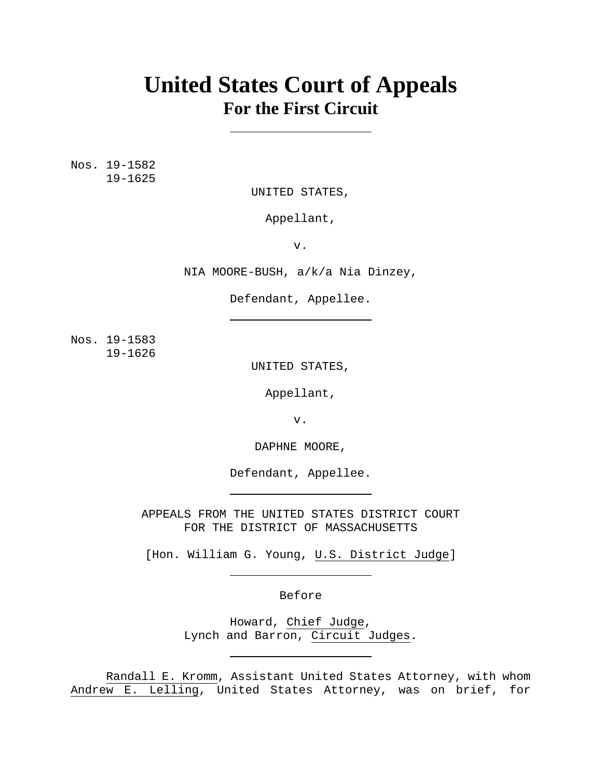# **United States Court of Appeals For the First Circuit**

Nos. 19-1582 19-1625

UNITED STATES,

Appellant,

v.

NIA MOORE-BUSH, a/k/a Nia Dinzey,

Defendant, Appellee.

Nos. 19-1583 19-1626

UNITED STATES,

Appellant,

v.

DAPHNE MOORE,

Defendant, Appellee.

APPEALS FROM THE UNITED STATES DISTRICT COURT FOR THE DISTRICT OF MASSACHUSETTS

[Hon. William G. Young, U.S. District Judge]

Before

Howard, Chief Judge, Lynch and Barron, Circuit Judges.

 Randall E. Kromm, Assistant United States Attorney, with whom Andrew E. Lelling, United States Attorney, was on brief, for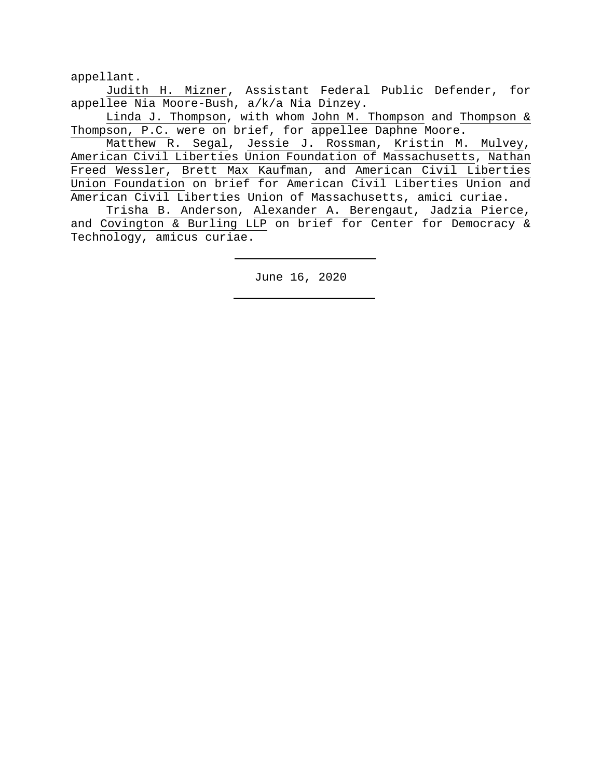appellant.

 Judith H. Mizner, Assistant Federal Public Defender, for appellee Nia Moore-Bush, a/k/a Nia Dinzey.

 Linda J. Thompson, with whom John M. Thompson and Thompson & Thompson, P.C. were on brief, for appellee Daphne Moore.

 Matthew R. Segal, Jessie J. Rossman, Kristin M. Mulvey, American Civil Liberties Union Foundation of Massachusetts, Nathan Freed Wessler, Brett Max Kaufman, and American Civil Liberties Union Foundation on brief for American Civil Liberties Union and American Civil Liberties Union of Massachusetts, amici curiae.

 Trisha B. Anderson, Alexander A. Berengaut, Jadzia Pierce, and Covington & Burling LLP on brief for Center for Democracy & Technology, amicus curiae.

June 16, 2020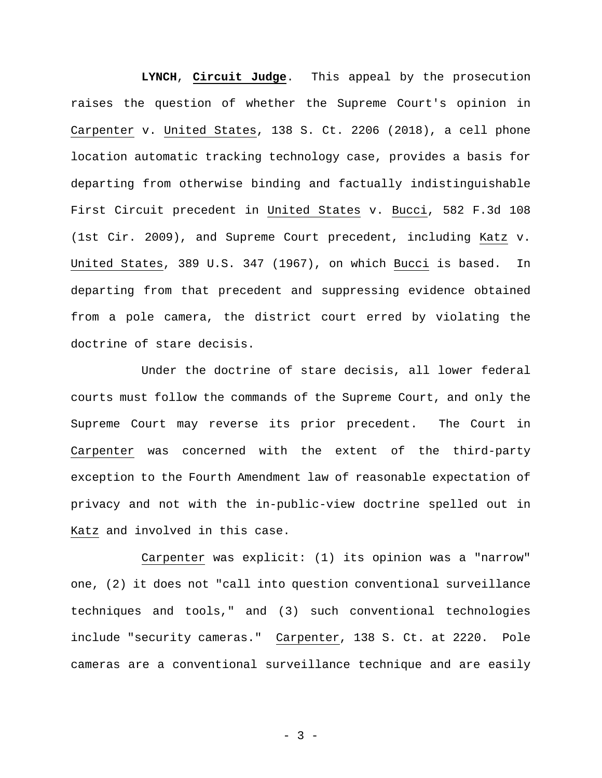**LYNCH**, **Circuit Judge**. This appeal by the prosecution raises the question of whether the Supreme Court's opinion in Carpenter v. United States, 138 S. Ct. 2206 (2018), a cell phone location automatic tracking technology case, provides a basis for departing from otherwise binding and factually indistinguishable First Circuit precedent in United States v. Bucci, 582 F.3d 108 (1st Cir. 2009), and Supreme Court precedent, including Katz v. United States, 389 U.S. 347 (1967), on which Bucci is based. In departing from that precedent and suppressing evidence obtained from a pole camera, the district court erred by violating the doctrine of stare decisis.

 Under the doctrine of stare decisis, all lower federal courts must follow the commands of the Supreme Court, and only the Supreme Court may reverse its prior precedent. The Court in Carpenter was concerned with the extent of the third-party exception to the Fourth Amendment law of reasonable expectation of privacy and not with the in-public-view doctrine spelled out in Katz and involved in this case.

 Carpenter was explicit: (1) its opinion was a "narrow" one, (2) it does not "call into question conventional surveillance techniques and tools," and (3) such conventional technologies include "security cameras." Carpenter, 138 S. Ct. at 2220. Pole cameras are a conventional surveillance technique and are easily

- 3 -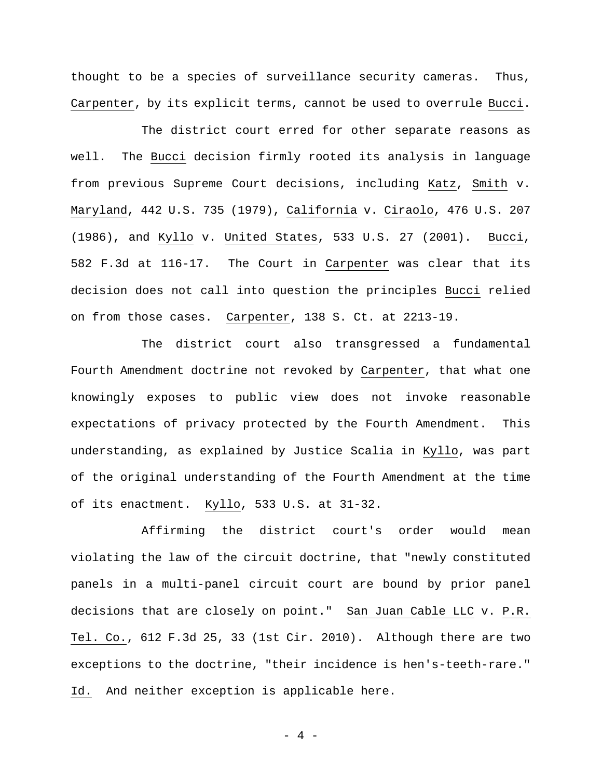thought to be a species of surveillance security cameras. Thus, Carpenter, by its explicit terms, cannot be used to overrule Bucci.

 The district court erred for other separate reasons as well. The Bucci decision firmly rooted its analysis in language from previous Supreme Court decisions, including Katz, Smith v. Maryland, 442 U.S. 735 (1979), California v. Ciraolo, 476 U.S. 207 (1986), and Kyllo v. United States, 533 U.S. 27 (2001). Bucci, 582 F.3d at 116-17. The Court in Carpenter was clear that its decision does not call into question the principles Bucci relied on from those cases. Carpenter, 138 S. Ct. at 2213-19.

 The district court also transgressed a fundamental Fourth Amendment doctrine not revoked by Carpenter, that what one knowingly exposes to public view does not invoke reasonable expectations of privacy protected by the Fourth Amendment. This understanding, as explained by Justice Scalia in Kyllo, was part of the original understanding of the Fourth Amendment at the time of its enactment. Kyllo, 533 U.S. at 31-32.

 Affirming the district court's order would mean violating the law of the circuit doctrine, that "newly constituted panels in a multi-panel circuit court are bound by prior panel decisions that are closely on point." San Juan Cable LLC v. P.R. Tel. Co., 612 F.3d 25, 33 (1st Cir. 2010). Although there are two exceptions to the doctrine, "their incidence is hen's-teeth-rare." Id. And neither exception is applicable here.

- 4 -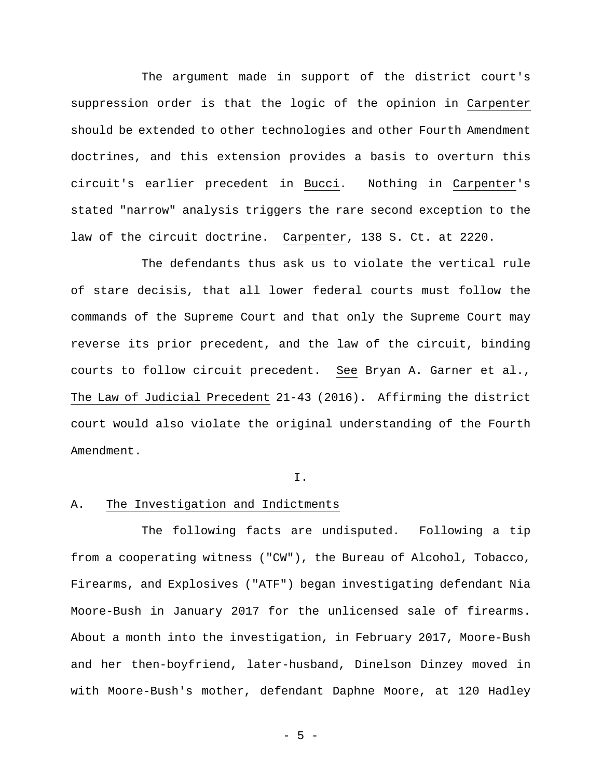The argument made in support of the district court's suppression order is that the logic of the opinion in Carpenter should be extended to other technologies and other Fourth Amendment doctrines, and this extension provides a basis to overturn this circuit's earlier precedent in Bucci. Nothing in Carpenter's stated "narrow" analysis triggers the rare second exception to the law of the circuit doctrine. Carpenter, 138 S. Ct. at 2220.

 The defendants thus ask us to violate the vertical rule of stare decisis, that all lower federal courts must follow the commands of the Supreme Court and that only the Supreme Court may reverse its prior precedent, and the law of the circuit, binding courts to follow circuit precedent. See Bryan A. Garner et al., The Law of Judicial Precedent 21-43 (2016). Affirming the district court would also violate the original understanding of the Fourth Amendment.

#### I.

## A. The Investigation and Indictments

 The following facts are undisputed. Following a tip from a cooperating witness ("CW"), the Bureau of Alcohol, Tobacco, Firearms, and Explosives ("ATF") began investigating defendant Nia Moore-Bush in January 2017 for the unlicensed sale of firearms. About a month into the investigation, in February 2017, Moore-Bush and her then-boyfriend, later-husband, Dinelson Dinzey moved in with Moore-Bush's mother, defendant Daphne Moore, at 120 Hadley

- 5 -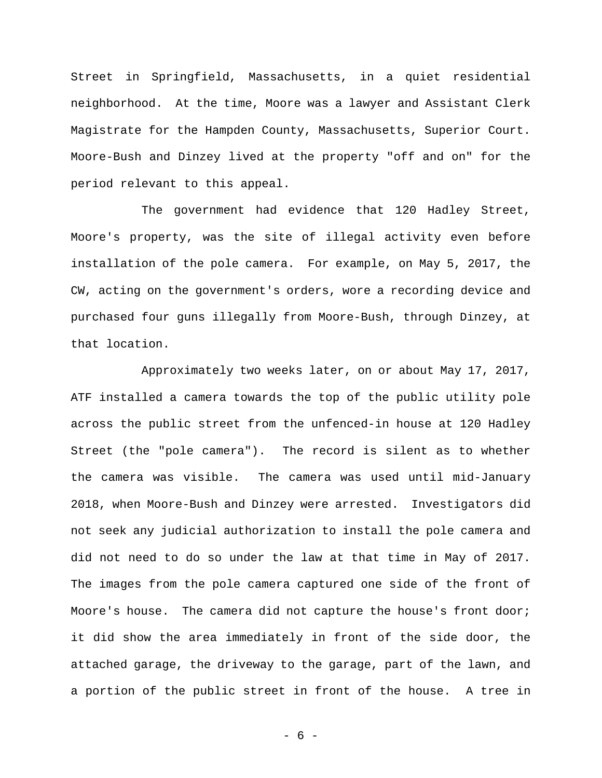Street in Springfield, Massachusetts, in a quiet residential neighborhood. At the time, Moore was a lawyer and Assistant Clerk Magistrate for the Hampden County, Massachusetts, Superior Court. Moore-Bush and Dinzey lived at the property "off and on" for the period relevant to this appeal.

The government had evidence that 120 Hadley Street, Moore's property, was the site of illegal activity even before installation of the pole camera. For example, on May 5, 2017, the CW, acting on the government's orders, wore a recording device and purchased four guns illegally from Moore-Bush, through Dinzey, at that location.

 Approximately two weeks later, on or about May 17, 2017, ATF installed a camera towards the top of the public utility pole across the public street from the unfenced-in house at 120 Hadley Street (the "pole camera"). The record is silent as to whether the camera was visible.The camera was used until mid-January 2018, when Moore-Bush and Dinzey were arrested. Investigators did not seek any judicial authorization to install the pole camera and did not need to do so under the law at that time in May of 2017. The images from the pole camera captured one side of the front of Moore's house. The camera did not capture the house's front door; it did show the area immediately in front of the side door, the attached garage, the driveway to the garage, part of the lawn, and a portion of the public street in front of the house.A tree in

- 6 -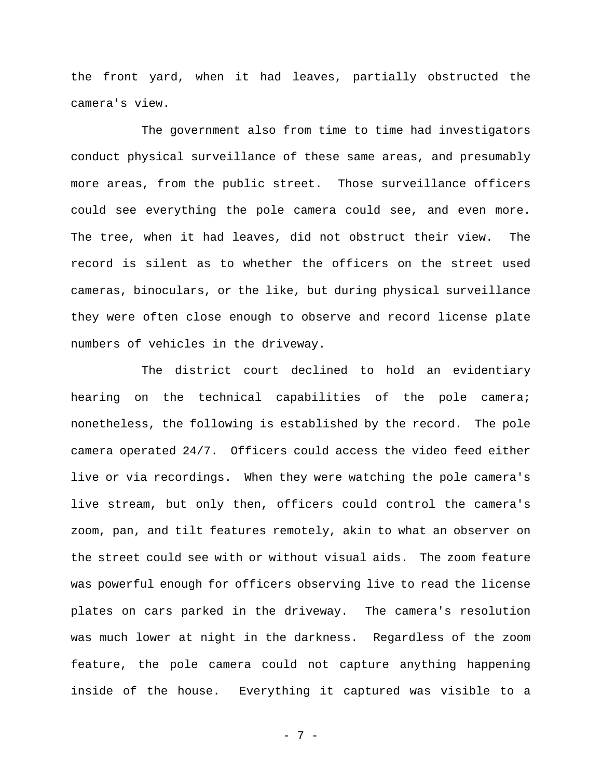the front yard, when it had leaves, partially obstructed the camera's view.

The government also from time to time had investigators conduct physical surveillance of these same areas, and presumably more areas, from the public street. Those surveillance officers could see everything the pole camera could see, and even more. The tree, when it had leaves, did not obstruct their view. The record is silent as to whether the officers on the street used cameras, binoculars, or the like, but during physical surveillance they were often close enough to observe and record license plate numbers of vehicles in the driveway.

The district court declined to hold an evidentiary hearing on the technical capabilities of the pole camera; nonetheless, the following is established by the record. The pole camera operated 24/7. Officers could access the video feed either live or via recordings. When they were watching the pole camera's live stream, but only then, officers could control the camera's zoom, pan, and tilt features remotely, akin to what an observer on the street could see with or without visual aids.The zoom feature was powerful enough for officers observing live to read the license plates on cars parked in the driveway. The camera's resolution was much lower at night in the darkness. Regardless of the zoom feature, the pole camera could not capture anything happening inside of the house. Everything it captured was visible to a

- 7 -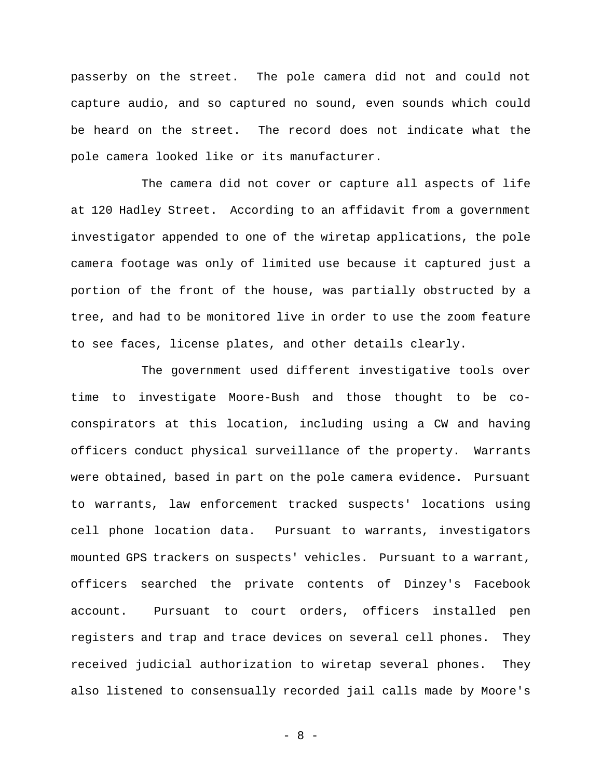passerby on the street. The pole camera did not and could not capture audio, and so captured no sound, even sounds which could be heard on the street. The record does not indicate what the pole camera looked like or its manufacturer.

 The camera did not cover or capture all aspects of life at 120 Hadley Street. According to an affidavit from a government investigator appended to one of the wiretap applications, the pole camera footage was only of limited use because it captured just a portion of the front of the house, was partially obstructed by a tree, and had to be monitored live in order to use the zoom feature to see faces, license plates, and other details clearly.

The government used different investigative tools over time to investigate Moore-Bush and those thought to be coconspirators at this location, including using a CW and having officers conduct physical surveillance of the property. Warrants were obtained, based in part on the pole camera evidence. Pursuant to warrants, law enforcement tracked suspects' locations using cell phone location data. Pursuant to warrants, investigators mounted GPS trackers on suspects' vehicles. Pursuant to a warrant, officers searched the private contents of Dinzey's Facebook account. Pursuant to court orders, officers installed pen registers and trap and trace devices on several cell phones.They received judicial authorization to wiretap several phones.They also listened to consensually recorded jail calls made by Moore's

- 8 -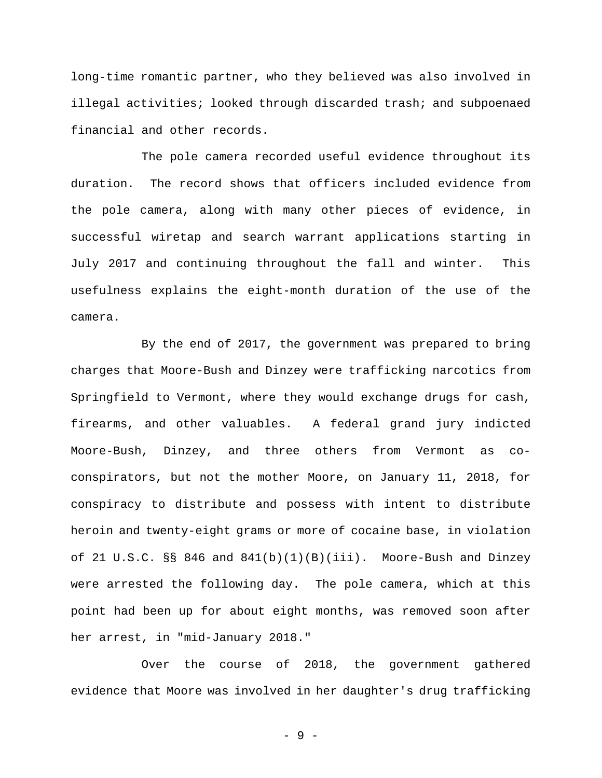long-time romantic partner, who they believed was also involved in illegal activities; looked through discarded trash; and subpoenaed financial and other records.

 The pole camera recorded useful evidence throughout its duration. The record shows that officers included evidence from the pole camera, along with many other pieces of evidence, in successful wiretap and search warrant applications starting in July 2017 and continuing throughout the fall and winter. This usefulness explains the eight-month duration of the use of the camera.

 By the end of 2017, the government was prepared to bring charges that Moore-Bush and Dinzey were trafficking narcotics from Springfield to Vermont, where they would exchange drugs for cash, firearms, and other valuables. A federal grand jury indicted Moore-Bush, Dinzey, and three others from Vermont as coconspirators, but not the mother Moore, on January 11, 2018, for conspiracy to distribute and possess with intent to distribute heroin and twenty-eight grams or more of cocaine base, in violation of 21 U.S.C. §§ 846 and  $841(b)(1)(B)(iii)$ . Moore-Bush and Dinzey were arrested the following day. The pole camera, which at this point had been up for about eight months, was removed soon after her arrest, in "mid-January 2018."

 Over the course of 2018, the government gathered evidence that Moore was involved in her daughter's drug trafficking

- 9 -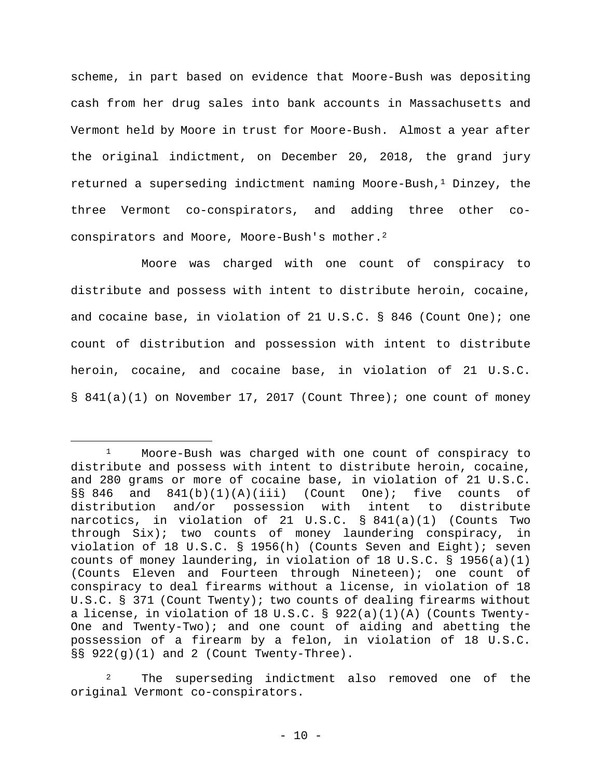scheme, in part based on evidence that Moore-Bush was depositing cash from her drug sales into bank accounts in Massachusetts and Vermont held by Moore in trust for Moore-Bush. Almost a year after the original indictment, on December 20, 2018, the grand jury returned a superseding indictment naming Moore-Bush, $<sup>1</sup>$  Dinzey, the</sup> three Vermont co-conspirators, and adding three other coconspirators and Moore, Moore-Bush's mother.2

 Moore was charged with one count of conspiracy to distribute and possess with intent to distribute heroin, cocaine, and cocaine base, in violation of 21 U.S.C. § 846 (Count One); one count of distribution and possession with intent to distribute heroin, cocaine, and cocaine base, in violation of 21 U.S.C. § 841(a)(1) on November 17, 2017 (Count Three); one count of money

The superseding indictment also removed one of the original Vermont co-conspirators.

<sup>1</sup> Moore-Bush was charged with one count of conspiracy to distribute and possess with intent to distribute heroin, cocaine, and 280 grams or more of cocaine base, in violation of 21 U.S.C.  $\S$ § 846 and 841(b)(1)(A)(iii) (Count One); five counts of distribution and/or possession with intent to distribute narcotics, in violation of 21 U.S.C. § 841(a)(1) (Counts Two through Six); two counts of money laundering conspiracy, in violation of 18 U.S.C. § 1956(h) (Counts Seven and Eight); seven counts of money laundering, in violation of 18 U.S.C.  $\S$  1956(a)(1) (Counts Eleven and Fourteen through Nineteen); one count of conspiracy to deal firearms without a license, in violation of 18 U.S.C. § 371 (Count Twenty); two counts of dealing firearms without a license, in violation of 18 U.S.C. § 922(a)(1)(A) (Counts Twenty-One and Twenty-Two); and one count of aiding and abetting the possession of a firearm by a felon, in violation of 18 U.S.C.  $\S$ § 922(g)(1) and 2 (Count Twenty-Three).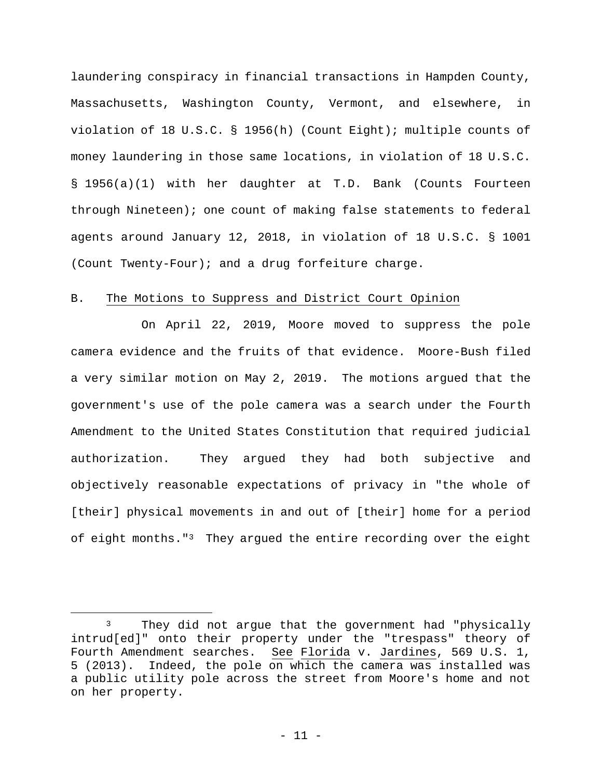laundering conspiracy in financial transactions in Hampden County, Massachusetts, Washington County, Vermont, and elsewhere, in violation of 18 U.S.C. § 1956(h) (Count Eight); multiple counts of money laundering in those same locations, in violation of 18 U.S.C. § 1956(a)(1) with her daughter at T.D. Bank (Counts Fourteen through Nineteen); one count of making false statements to federal agents around January 12, 2018, in violation of 18 U.S.C. § 1001 (Count Twenty-Four); and a drug forfeiture charge.

### B. The Motions to Suppress and District Court Opinion

On April 22, 2019, Moore moved to suppress the pole camera evidence and the fruits of that evidence.Moore-Bush filed a very similar motion on May 2, 2019. The motions argued that the government's use of the pole camera was a search under the Fourth Amendment to the United States Constitution that required judicial authorization. They argued they had both subjective and objectively reasonable expectations of privacy in "the whole of [their] physical movements in and out of [their] home for a period of eight months."3 They argued the entire recording over the eight

<sup>3</sup> They did not argue that the government had "physically intrud[ed]" onto their property under the "trespass" theory of Fourth Amendment searches. See Florida v. Jardines, 569 U.S. 1, 5 (2013). Indeed, the pole on which the camera was installed was a public utility pole across the street from Moore's home and not on her property.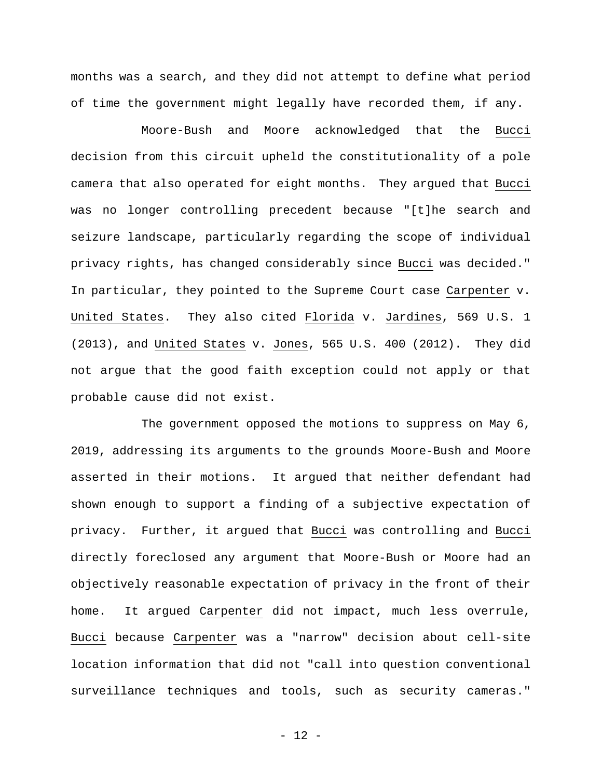months was a search, and they did not attempt to define what period of time the government might legally have recorded them, if any.

Moore-Bush and Moore acknowledged that the Bucci decision from this circuit upheld the constitutionality of a pole camera that also operated for eight months. They argued that Bucci was no longer controlling precedent because "[t]he search and seizure landscape, particularly regarding the scope of individual privacy rights, has changed considerably since Bucci was decided." In particular, they pointed to the Supreme Court case Carpenter v. United States. They also cited Florida v. Jardines, 569 U.S. 1 (2013), and United States v. Jones, 565 U.S. 400 (2012). They did not argue that the good faith exception could not apply or that probable cause did not exist.

The government opposed the motions to suppress on May 6, 2019, addressing its arguments to the grounds Moore-Bush and Moore asserted in their motions. It argued that neither defendant had shown enough to support a finding of a subjective expectation of privacy. Further, it argued that Bucci was controlling and Bucci directly foreclosed any argument that Moore-Bush or Moore had an objectively reasonable expectation of privacy in the front of their home. It argued Carpenter did not impact, much less overrule, Bucci because Carpenter was a "narrow" decision about cell-site location information that did not "call into question conventional surveillance techniques and tools, such as security cameras."

- 12 -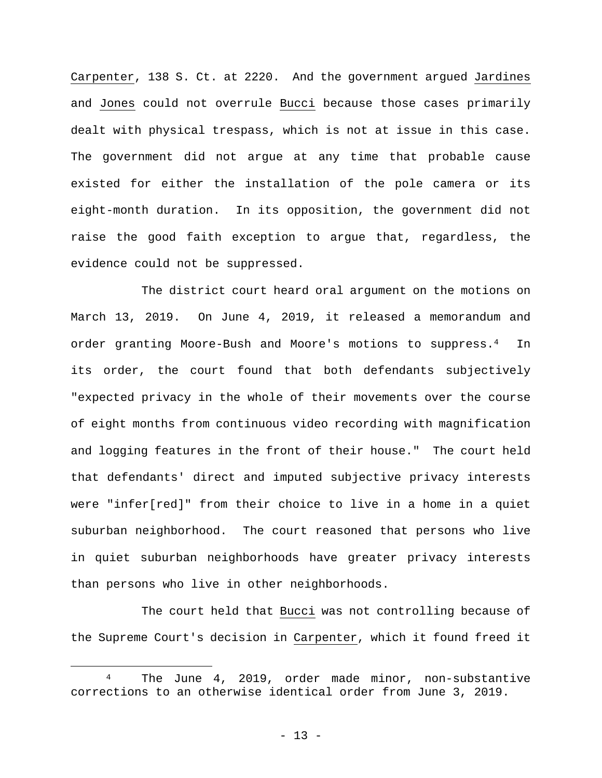Carpenter, 138 S. Ct. at 2220. And the government argued Jardines and Jones could not overrule Bucci because those cases primarily dealt with physical trespass, which is not at issue in this case. The government did not argue at any time that probable cause existed for either the installation of the pole camera or its eight-month duration. In its opposition, the government did not raise the good faith exception to argue that, regardless, the evidence could not be suppressed.

 The district court heard oral argument on the motions on March 13, 2019. On June 4, 2019, it released a memorandum and order granting Moore-Bush and Moore's motions to suppress.4 In its order, the court found that both defendants subjectively "expected privacy in the whole of their movements over the course of eight months from continuous video recording with magnification and logging features in the front of their house." The court held that defendants' direct and imputed subjective privacy interests were "infer[red]" from their choice to live in a home in a quiet suburban neighborhood. The court reasoned that persons who live in quiet suburban neighborhoods have greater privacy interests than persons who live in other neighborhoods.

The court held that Bucci was not controlling because of the Supreme Court's decision in Carpenter, which it found freed it

The June 4, 2019, order made minor, non-substantive corrections to an otherwise identical order from June 3, 2019.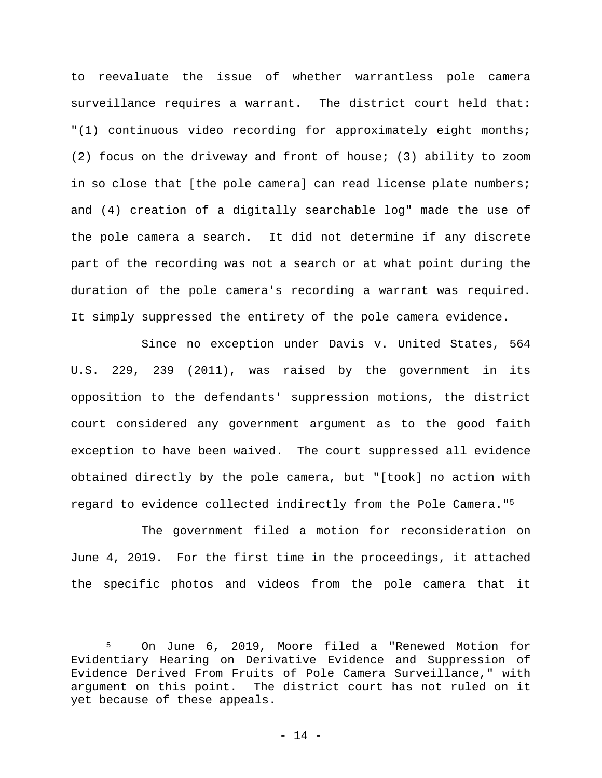to reevaluate the issue of whether warrantless pole camera surveillance requires a warrant. The district court held that: "(1) continuous video recording for approximately eight months; (2) focus on the driveway and front of house; (3) ability to zoom in so close that [the pole camera] can read license plate numbers; and (4) creation of a digitally searchable log" made the use of the pole camera a search. It did not determine if any discrete part of the recording was not a search or at what point during the duration of the pole camera's recording a warrant was required. It simply suppressed the entirety of the pole camera evidence.

Since no exception under Davis v. United States, 564 U.S. 229, 239 (2011), was raised by the government in its opposition to the defendants' suppression motions, the district court considered any government argument as to the good faith exception to have been waived. The court suppressed all evidence obtained directly by the pole camera, but "[took] no action with regard to evidence collected indirectly from the Pole Camera."5

 The government filed a motion for reconsideration on June 4, 2019. For the first time in the proceedings, it attached the specific photos and videos from the pole camera that it

<sup>5</sup> On June 6, 2019, Moore filed a "Renewed Motion for Evidentiary Hearing on Derivative Evidence and Suppression of Evidence Derived From Fruits of Pole Camera Surveillance," with argument on this point. The district court has not ruled on it yet because of these appeals.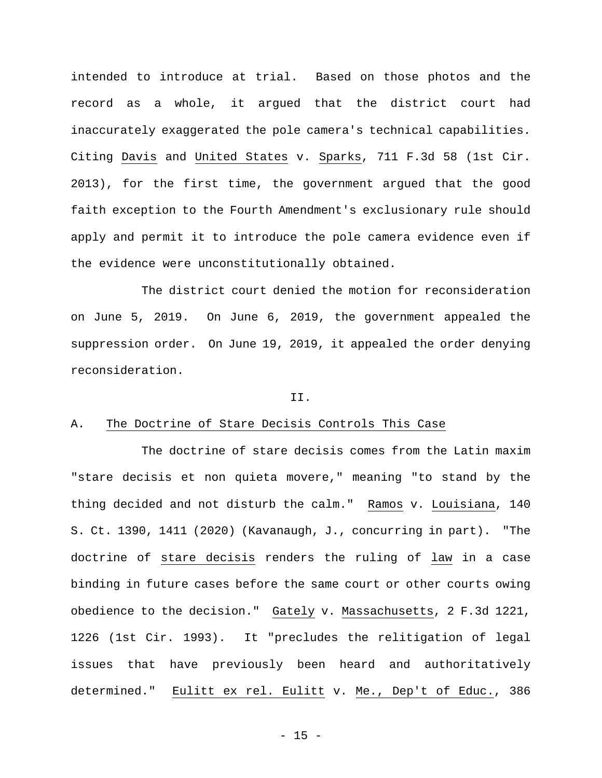intended to introduce at trial. Based on those photos and the record as a whole, it argued that the district court had inaccurately exaggerated the pole camera's technical capabilities. Citing Davis and United States v. Sparks, 711 F.3d 58 (1st Cir. 2013), for the first time, the government argued that the good faith exception to the Fourth Amendment's exclusionary rule should apply and permit it to introduce the pole camera evidence even if the evidence were unconstitutionally obtained.

 The district court denied the motion for reconsideration on June 5, 2019. On June 6, 2019, the government appealed the suppression order. On June 19, 2019, it appealed the order denying reconsideration.

#### II.

## A. The Doctrine of Stare Decisis Controls This Case

 The doctrine of stare decisis comes from the Latin maxim "stare decisis et non quieta movere," meaning "to stand by the thing decided and not disturb the calm." Ramos v. Louisiana, 140 S. Ct. 1390, 1411 (2020) (Kavanaugh, J., concurring in part). "The doctrine of stare decisis renders the ruling of law in a case binding in future cases before the same court or other courts owing obedience to the decision." Gately v. Massachusetts, 2 F.3d 1221, 1226 (1st Cir. 1993). It "precludes the relitigation of legal issues that have previously been heard and authoritatively determined." Eulitt ex rel. Eulitt v. Me., Dep't of Educ., 386

 $- 15 -$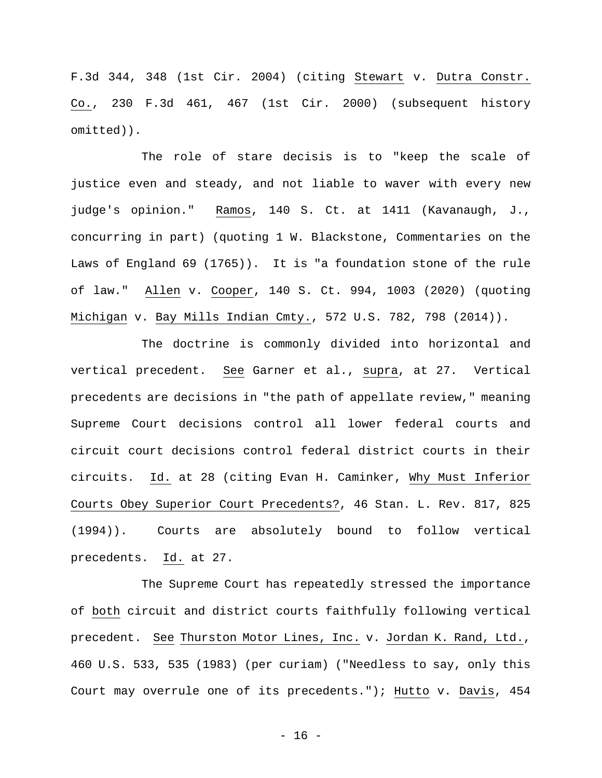F.3d 344, 348 (1st Cir. 2004) (citing Stewart v. Dutra Constr. Co., 230 F.3d 461, 467 (1st Cir. 2000) (subsequent history omitted)).

The role of stare decisis is to "keep the scale of justice even and steady, and not liable to waver with every new judge's opinion." Ramos, 140 S. Ct. at 1411 (Kavanaugh, J., concurring in part) (quoting 1 W. Blackstone, Commentaries on the Laws of England 69 (1765)). It is "a foundation stone of the rule of law." Allen v. Cooper, 140 S. Ct. 994, 1003 (2020) (quoting Michigan v. Bay Mills Indian Cmty., 572 U.S. 782, 798 (2014)).

 The doctrine is commonly divided into horizontal and vertical precedent. See Garner et al., supra, at 27. Vertical precedents are decisions in "the path of appellate review," meaning Supreme Court decisions control all lower federal courts and circuit court decisions control federal district courts in their circuits. Id. at 28 (citing Evan H. Caminker, Why Must Inferior Courts Obey Superior Court Precedents?, 46 Stan. L. Rev. 817, 825 (1994)). Courts are absolutely bound to follow vertical precedents. Id. at 27.

 The Supreme Court has repeatedly stressed the importance of both circuit and district courts faithfully following vertical precedent. See Thurston Motor Lines, Inc. v. Jordan K. Rand, Ltd., 460 U.S. 533, 535 (1983) (per curiam) ("Needless to say, only this Court may overrule one of its precedents."); Hutto v. Davis, 454

- 16 -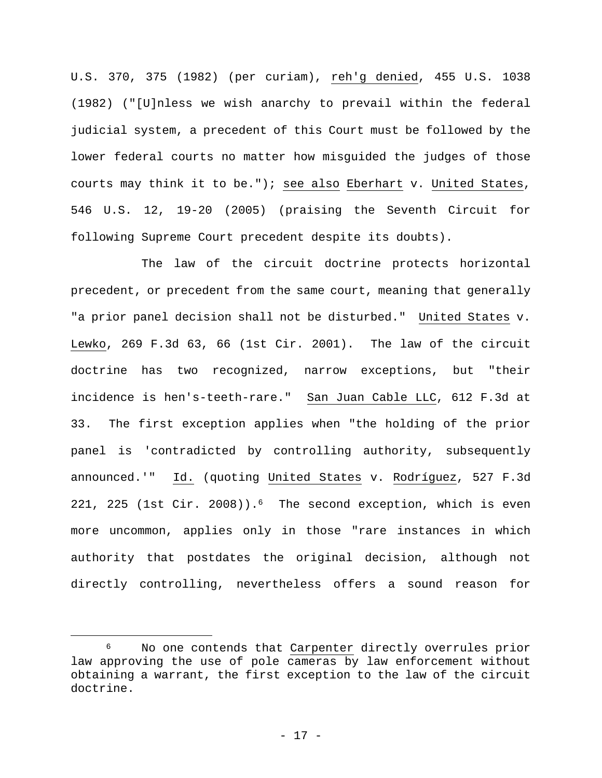U.S. 370, 375 (1982) (per curiam), reh'g denied, 455 U.S. 1038 (1982) ("[U]nless we wish anarchy to prevail within the federal judicial system, a precedent of this Court must be followed by the lower federal courts no matter how misguided the judges of those courts may think it to be."); see also Eberhart v. United States, 546 U.S. 12, 19-20 (2005) (praising the Seventh Circuit for following Supreme Court precedent despite its doubts).

 The law of the circuit doctrine protects horizontal precedent, or precedent from the same court, meaning that generally "a prior panel decision shall not be disturbed." United States v. Lewko, 269 F.3d 63, 66 (1st Cir. 2001). The law of the circuit doctrine has two recognized, narrow exceptions, but "their incidence is hen's-teeth-rare." San Juan Cable LLC, 612 F.3d at 33. The first exception applies when "the holding of the prior panel is 'contradicted by controlling authority, subsequently announced.'" Id. (quoting United States v. Rodríguez, 527 F.3d 221, 225 (1st Cir. 2008)).6 The second exception, which is even more uncommon, applies only in those "rare instances in which authority that postdates the original decision, although not directly controlling, nevertheless offers a sound reason for

<sup>6</sup> No one contends that Carpenter directly overrules prior law approving the use of pole cameras by law enforcement without obtaining a warrant, the first exception to the law of the circuit doctrine.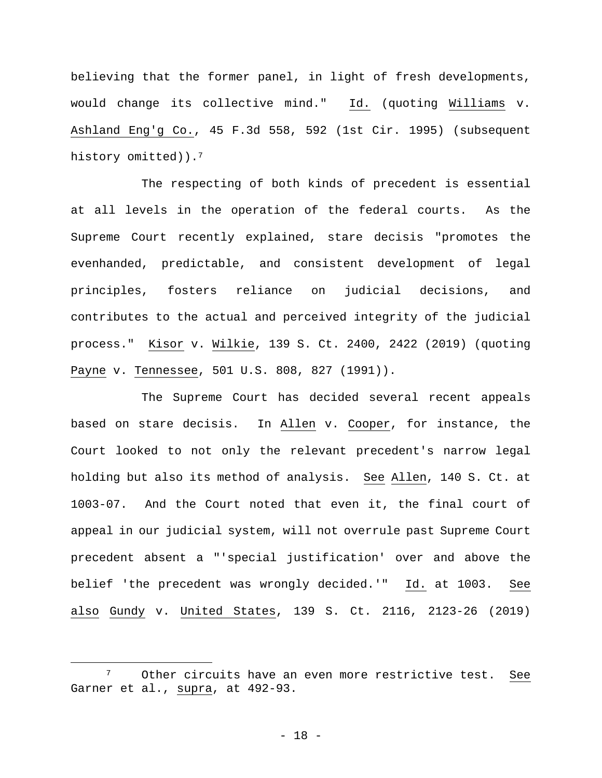believing that the former panel, in light of fresh developments, would change its collective mind." Id. (quoting Williams v. Ashland Eng'g Co., 45 F.3d 558, 592 (1st Cir. 1995) (subsequent history omitted)).<sup>7</sup>

 The respecting of both kinds of precedent is essential at all levels in the operation of the federal courts. As the Supreme Court recently explained, stare decisis "promotes the evenhanded, predictable, and consistent development of legal principles, fosters reliance on judicial decisions, and contributes to the actual and perceived integrity of the judicial process." Kisor v. Wilkie, 139 S. Ct. 2400, 2422 (2019) (quoting Payne v. Tennessee, 501 U.S. 808, 827 (1991)).

 The Supreme Court has decided several recent appeals based on stare decisis. In Allen v. Cooper, for instance, the Court looked to not only the relevant precedent's narrow legal holding but also its method of analysis. See Allen, 140 S. Ct. at 1003-07. And the Court noted that even it, the final court of appeal in our judicial system, will not overrule past Supreme Court precedent absent a "'special justification' over and above the belief 'the precedent was wrongly decided.'" Id. at 1003. See also Gundy v. United States, 139 S. Ct. 2116, 2123-26 (2019)

<sup>7</sup> Other circuits have an even more restrictive test. See Garner et al., supra, at 492-93.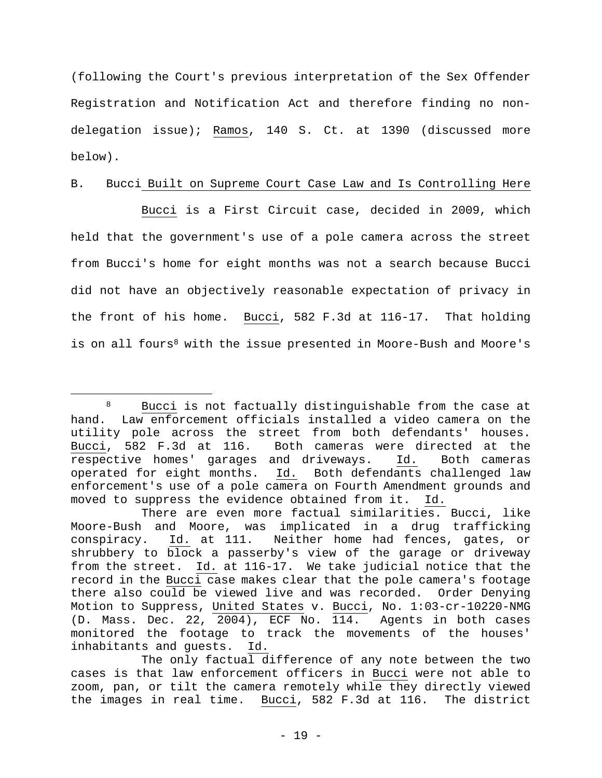(following the Court's previous interpretation of the Sex Offender Registration and Notification Act and therefore finding no nondelegation issue); Ramos, 140 S. Ct. at 1390 (discussed more below).

# B. Bucci Built on Supreme Court Case Law and Is Controlling Here

 Bucci is a First Circuit case, decided in 2009, which held that the government's use of a pole camera across the street from Bucci's home for eight months was not a search because Bucci did not have an objectively reasonable expectation of privacy in the front of his home. Bucci, 582 F.3d at 116-17. That holding is on all fours<sup>8</sup> with the issue presented in Moore-Bush and Moore's

<sup>8</sup> Bucci is not factually distinguishable from the case at hand. Law enforcement officials installed a video camera on the utility pole across the street from both defendants' houses. Bucci, 582 F.3d at 116. Both cameras were directed at the respective homes' garages and driveways. Id.Both cameras operated for eight months. Id. Both defendants challenged law enforcement's use of a pole camera on Fourth Amendment grounds and moved to suppress the evidence obtained from it. Id.

There are even more factual similarities. Bucci, like Moore-Bush and Moore, was implicated in a drug trafficking conspiracy. Id. at 111. Neither home had fences, gates, or shrubbery to block a passerby's view of the garage or driveway from the street. Id. at 116-17.We take judicial notice that the record in the Bucci case makes clear that the pole camera's footage there also could be viewed live and was recorded. Order Denying Motion to Suppress, United States v. Bucci, No. 1:03-cr-10220-NMG (D. Mass. Dec. 22, 2004), ECF No. 114. Agents in both cases monitored the footage to track the movements of the houses' inhabitants and guests. Id.

The only factual difference of any note between the two cases is that law enforcement officers in Bucci were not able to zoom, pan, or tilt the camera remotely while they directly viewed the images in real time. Bucci, 582 F.3d at 116. The district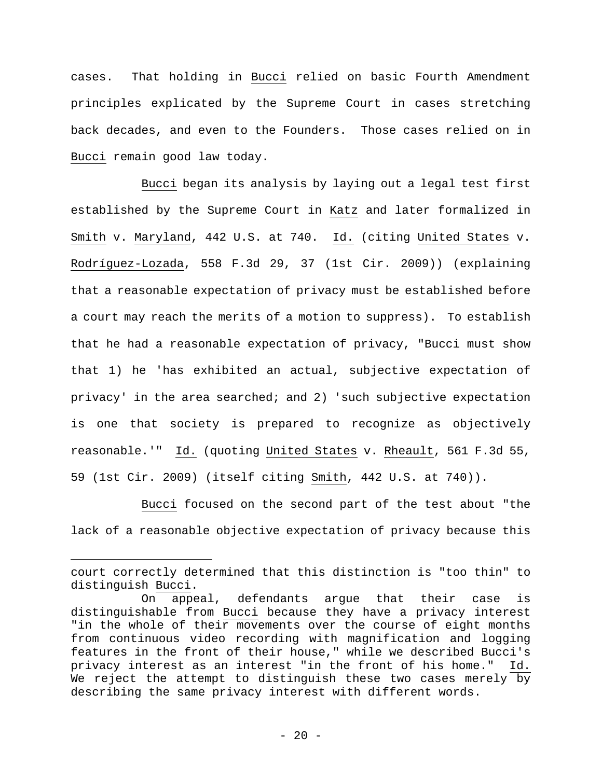cases. That holding in Bucci relied on basic Fourth Amendment principles explicated by the Supreme Court in cases stretching back decades, and even to the Founders. Those cases relied on in Bucci remain good law today.

 Bucci began its analysis by laying out a legal test first established by the Supreme Court in Katz and later formalized in Smith v. Maryland, 442 U.S. at 740. Id. (citing United States v. Rodríguez-Lozada, 558 F.3d 29, 37 (1st Cir. 2009)) (explaining that a reasonable expectation of privacy must be established before a court may reach the merits of a motion to suppress). To establish that he had a reasonable expectation of privacy, "Bucci must show that 1) he 'has exhibited an actual, subjective expectation of privacy' in the area searched; and 2) 'such subjective expectation is one that society is prepared to recognize as objectively reasonable.'" Id. (quoting United States v. Rheault, 561 F.3d 55, 59 (1st Cir. 2009) (itself citing Smith, 442 U.S. at 740)).

 Bucci focused on the second part of the test about "the lack of a reasonable objective expectation of privacy because this

court correctly determined that this distinction is "too thin" to distinguish Bucci.

On appeal, defendants argue that their case is distinguishable from Bucci because they have a privacy interest "in the whole of their movements over the course of eight months from continuous video recording with magnification and logging features in the front of their house," while we described Bucci's privacy interest as an interest "in the front of his home." Id. We reject the attempt to distinguish these two cases merely by describing the same privacy interest with different words.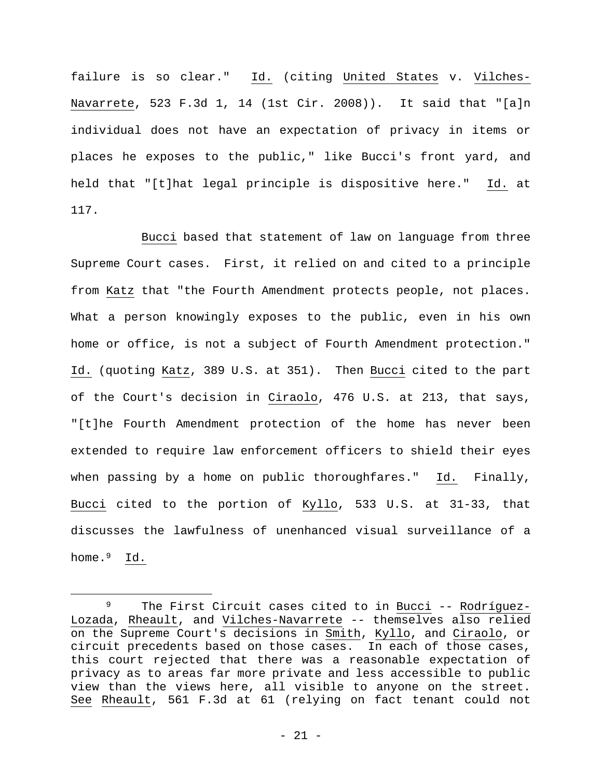failure is so clear." Id. (citing United States v. Vilches-Navarrete, 523 F.3d 1, 14 (1st Cir. 2008)). It said that "[a]n individual does not have an expectation of privacy in items or places he exposes to the public," like Bucci's front yard, and held that "[t]hat legal principle is dispositive here." Id. at 117.

 Bucci based that statement of law on language from three Supreme Court cases. First, it relied on and cited to a principle from Katz that "the Fourth Amendment protects people, not places. What a person knowingly exposes to the public, even in his own home or office, is not a subject of Fourth Amendment protection." Id. (quoting Katz, 389 U.S. at 351). Then Bucci cited to the part of the Court's decision in Ciraolo, 476 U.S. at 213, that says, "[t]he Fourth Amendment protection of the home has never been extended to require law enforcement officers to shield their eyes when passing by a home on public thoroughfares." Id. Finally, Bucci cited to the portion of Kyllo, 533 U.S. at 31-33, that discusses the lawfulness of unenhanced visual surveillance of a home.<sup>9</sup> Id.

<sup>9</sup> The First Circuit cases cited to in Bucci -- Rodríguez-Lozada, Rheault, and Vilches-Navarrete -- themselves also relied on the Supreme Court's decisions in Smith, Kyllo, and Ciraolo, or circuit precedents based on those cases. In each of those cases, this court rejected that there was a reasonable expectation of privacy as to areas far more private and less accessible to public view than the views here, all visible to anyone on the street. See Rheault, 561 F.3d at 61 (relying on fact tenant could not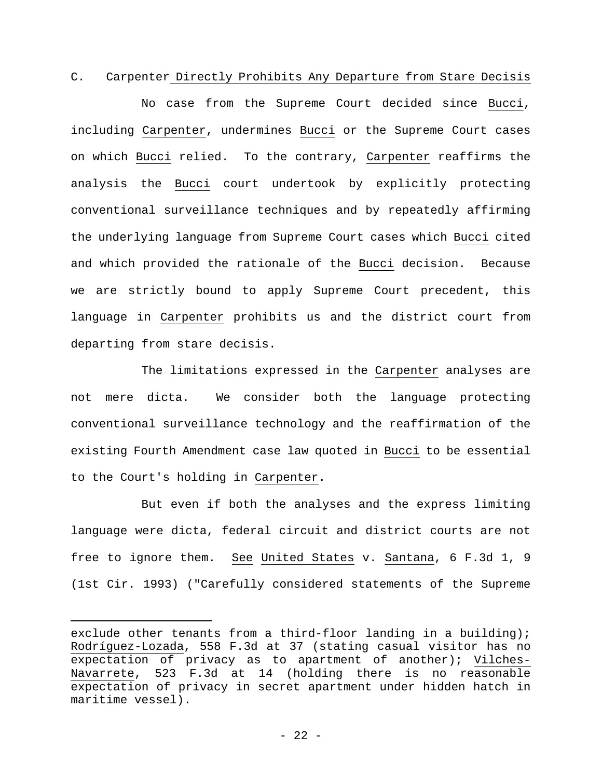C. Carpenter Directly Prohibits Any Departure from Stare Decisis

 No case from the Supreme Court decided since Bucci, including Carpenter, undermines Bucci or the Supreme Court cases on which Bucci relied. To the contrary, Carpenter reaffirms the analysis the Bucci court undertook by explicitly protecting conventional surveillance techniques and by repeatedly affirming the underlying language from Supreme Court cases which Bucci cited and which provided the rationale of the Bucci decision. Because we are strictly bound to apply Supreme Court precedent, this language in Carpenter prohibits us and the district court from departing from stare decisis.

 The limitations expressed in the Carpenter analyses are not mere dicta. We consider both the language protecting conventional surveillance technology and the reaffirmation of the existing Fourth Amendment case law quoted in Bucci to be essential to the Court's holding in Carpenter.

 But even if both the analyses and the express limiting language were dicta, federal circuit and district courts are not free to ignore them. See United States v. Santana, 6 F.3d 1, 9 (1st Cir. 1993) ("Carefully considered statements of the Supreme

exclude other tenants from a third-floor landing in a building); Rodríguez-Lozada, 558 F.3d at 37 (stating casual visitor has no expectation of privacy as to apartment of another); Vilches-Navarrete, 523 F.3d at 14 (holding there is no reasonable expectation of privacy in secret apartment under hidden hatch in maritime vessel).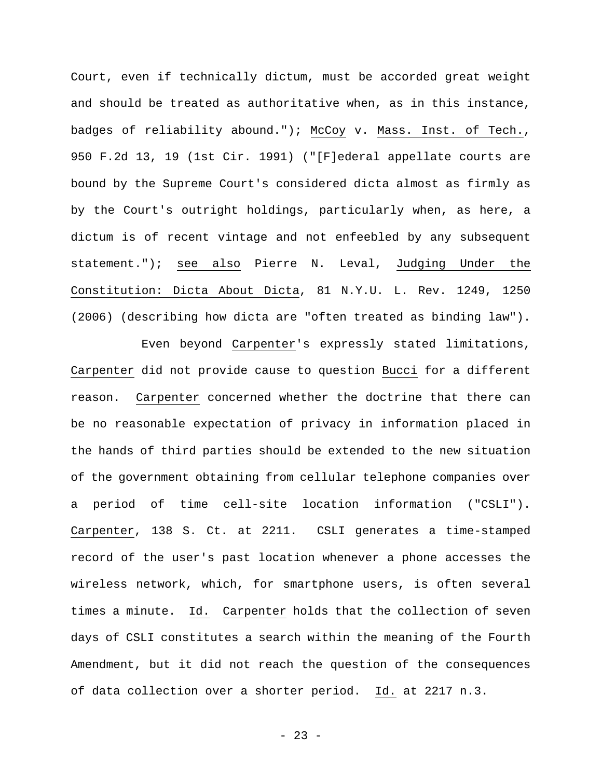Court, even if technically dictum, must be accorded great weight and should be treated as authoritative when, as in this instance, badges of reliability abound."); McCoy v. Mass. Inst. of Tech., 950 F.2d 13, 19 (1st Cir. 1991) ("[F]ederal appellate courts are bound by the Supreme Court's considered dicta almost as firmly as by the Court's outright holdings, particularly when, as here, a dictum is of recent vintage and not enfeebled by any subsequent statement."); see also Pierre N. Leval, Judging Under the Constitution: Dicta About Dicta, 81 N.Y.U. L. Rev. 1249, 1250 (2006) (describing how dicta are "often treated as binding law").

 Even beyond Carpenter's expressly stated limitations, Carpenter did not provide cause to question Bucci for a different reason. Carpenter concerned whether the doctrine that there can be no reasonable expectation of privacy in information placed in the hands of third parties should be extended to the new situation of the government obtaining from cellular telephone companies over a period of time cell-site location information ("CSLI"). Carpenter, 138 S. Ct. at 2211. CSLI generates a time-stamped record of the user's past location whenever a phone accesses the wireless network, which, for smartphone users, is often several times a minute. Id. Carpenter holds that the collection of seven days of CSLI constitutes a search within the meaning of the Fourth Amendment, but it did not reach the question of the consequences of data collection over a shorter period. Id. at 2217 n.3.

- 23 -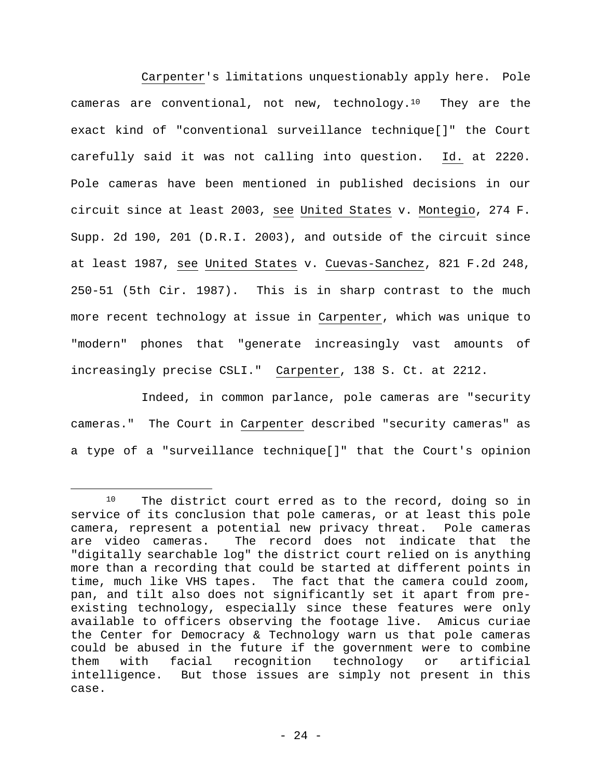Carpenter's limitations unquestionably apply here. Pole cameras are conventional, not new, technology.10 They are the exact kind of "conventional surveillance technique[]" the Court carefully said it was not calling into question. Id. at 2220. Pole cameras have been mentioned in published decisions in our circuit since at least 2003, see United States v. Montegio, 274 F. Supp. 2d 190, 201 (D.R.I. 2003), and outside of the circuit since at least 1987, see United States v. Cuevas-Sanchez, 821 F.2d 248, 250-51 (5th Cir. 1987). This is in sharp contrast to the much more recent technology at issue in Carpenter, which was unique to "modern" phones that "generate increasingly vast amounts of increasingly precise CSLI." Carpenter, 138 S. Ct. at 2212.

 Indeed, in common parlance, pole cameras are "security cameras." The Court in Carpenter described "security cameras" as a type of a "surveillance technique[]" that the Court's opinion

<sup>&</sup>lt;sup>10</sup> The district court erred as to the record, doing so in service of its conclusion that pole cameras, or at least this pole camera, represent a potential new privacy threat. Pole cameras are video cameras. The record does not indicate that the "digitally searchable log" the district court relied on is anything more than a recording that could be started at different points in time, much like VHS tapes. The fact that the camera could zoom, pan, and tilt also does not significantly set it apart from preexisting technology, especially since these features were only available to officers observing the footage live. Amicus curiae the Center for Democracy & Technology warn us that pole cameras could be abused in the future if the government were to combine them with facial recognition technology or artificial intelligence. But those issues are simply not present in this case.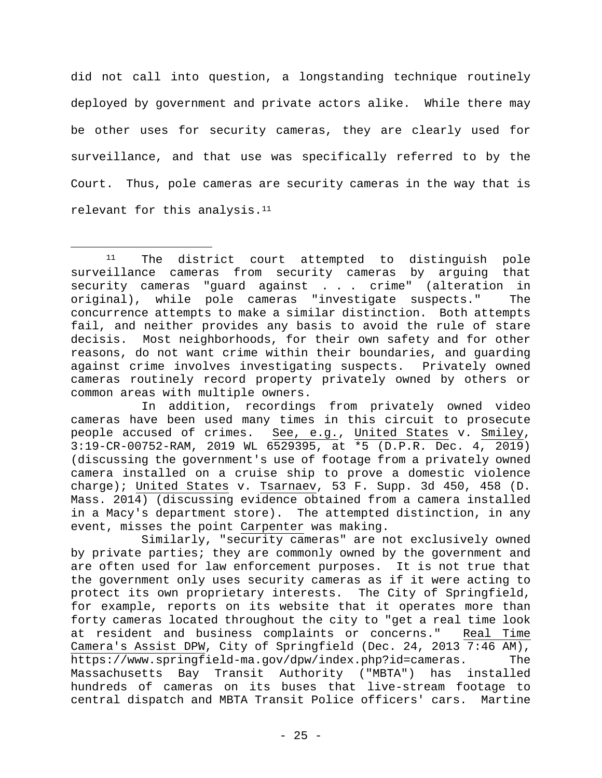did not call into question, a longstanding technique routinely deployed by government and private actors alike. While there may be other uses for security cameras, they are clearly used for surveillance, and that use was specifically referred to by the Court. Thus, pole cameras are security cameras in the way that is relevant for this analysis.<sup>11</sup>

In addition, recordings from privately owned video cameras have been used many times in this circuit to prosecute people accused of crimes. See, e.g., United States v. Smiley, 3:19-CR-00752-RAM, 2019 WL 6529395, at \*5 (D.P.R. Dec. 4, 2019) (discussing the government's use of footage from a privately owned camera installed on a cruise ship to prove a domestic violence charge); United States v. Tsarnaev, 53 F. Supp. 3d 450, 458 (D. Mass. 2014) (discussing evidence obtained from a camera installed in a Macy's department store). The attempted distinction, in any event, misses the point Carpenter was making.

 Similarly, "security cameras" are not exclusively owned by private parties; they are commonly owned by the government and are often used for law enforcement purposes. It is not true that the government only uses security cameras as if it were acting to protect its own proprietary interests. The City of Springfield, for example, reports on its website that it operates more than forty cameras located throughout the city to "get a real time look at resident and business complaints or concerns." Real Time Camera's Assist DPW, City of Springfield (Dec. 24, 2013 7:46 AM), https://www.springfield-ma.gov/dpw/index.php?id=cameras. The Massachusetts Bay Transit Authority ("MBTA") has installed hundreds of cameras on its buses that live-stream footage to central dispatch and MBTA Transit Police officers' cars. Martine

<sup>11</sup> The district court attempted to distinguish pole surveillance cameras from security cameras by arguing that security cameras "guard against . . . crime" (alteration in original), while pole cameras "investigate suspects." The concurrence attempts to make a similar distinction. Both attempts fail, and neither provides any basis to avoid the rule of stare decisis. Most neighborhoods, for their own safety and for other reasons, do not want crime within their boundaries, and guarding against crime involves investigating suspects. Privately owned cameras routinely record property privately owned by others or common areas with multiple owners.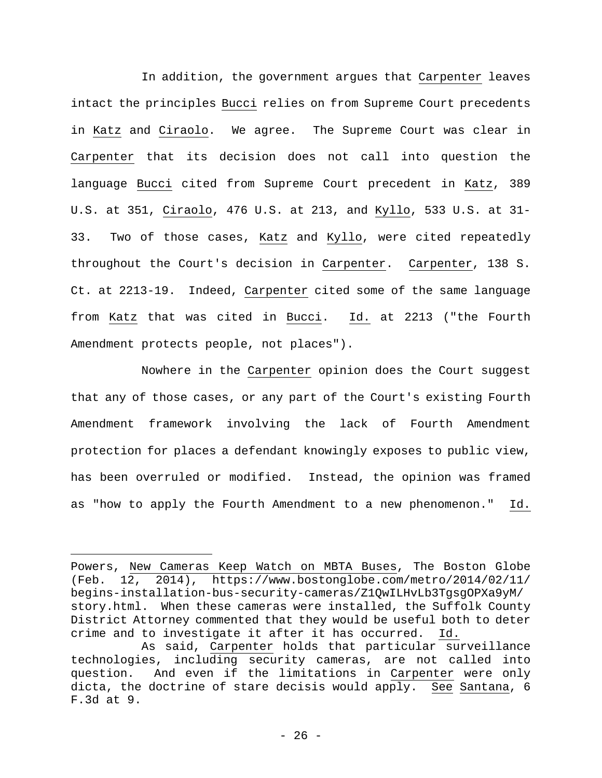In addition, the government argues that Carpenter leaves intact the principles Bucci relies on from Supreme Court precedents in Katz and Ciraolo. We agree. The Supreme Court was clear in Carpenter that its decision does not call into question the language Bucci cited from Supreme Court precedent in Katz, 389 U.S. at 351, Ciraolo, 476 U.S. at 213, and Kyllo, 533 U.S. at 31- 33. Two of those cases, Katz and Kyllo, were cited repeatedly throughout the Court's decision in Carpenter. Carpenter, 138 S. Ct. at 2213-19. Indeed, Carpenter cited some of the same language from Katz that was cited in Bucci. Id. at 2213 ("the Fourth Amendment protects people, not places").

 Nowhere in the Carpenter opinion does the Court suggest that any of those cases, or any part of the Court's existing Fourth Amendment framework involving the lack of Fourth Amendment protection for places a defendant knowingly exposes to public view, has been overruled or modified. Instead, the opinion was framed as "how to apply the Fourth Amendment to a new phenomenon." Id.

Powers, New Cameras Keep Watch on MBTA Buses, The Boston Globe (Feb. 12, 2014), https://www.bostonglobe.com/metro/2014/02/11/ begins-installation-bus-security-cameras/Z1QwILHvLb3TgsgOPXa9yM/ story.html. When these cameras were installed, the Suffolk County District Attorney commented that they would be useful both to deter crime and to investigate it after it has occurred. Id.

As said, Carpenter holds that particular surveillance technologies, including security cameras, are not called into question. And even if the limitations in Carpenter were only dicta, the doctrine of stare decisis would apply. See Santana, 6 F.3d at 9.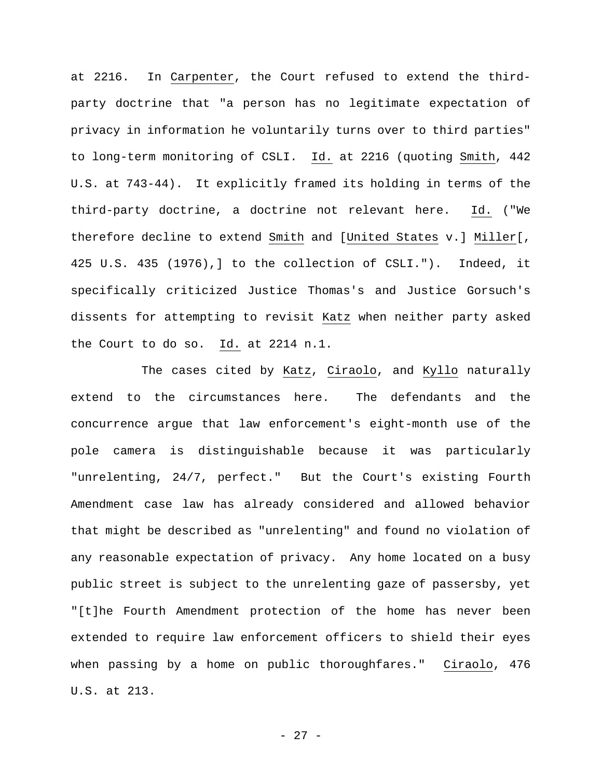at 2216. In Carpenter, the Court refused to extend the thirdparty doctrine that "a person has no legitimate expectation of privacy in information he voluntarily turns over to third parties" to long-term monitoring of CSLI. Id. at 2216 (quoting Smith, 442 U.S. at 743-44). It explicitly framed its holding in terms of the third-party doctrine, a doctrine not relevant here. Id. ("We therefore decline to extend Smith and [United States v.] Miller[, 425 U.S. 435 (1976),] to the collection of CSLI."). Indeed, it specifically criticized Justice Thomas's and Justice Gorsuch's dissents for attempting to revisit Katz when neither party asked the Court to do so. Id. at 2214 n.1.

The cases cited by Katz, Ciraolo, and Kyllo naturally extend to the circumstances here. The defendants and the concurrence argue that law enforcement's eight-month use of the pole camera is distinguishable because it was particularly "unrelenting, 24/7, perfect." But the Court's existing Fourth Amendment case law has already considered and allowed behavior that might be described as "unrelenting" and found no violation of any reasonable expectation of privacy. Any home located on a busy public street is subject to the unrelenting gaze of passersby, yet "[t]he Fourth Amendment protection of the home has never been extended to require law enforcement officers to shield their eyes when passing by a home on public thoroughfares." Ciraolo, 476 U.S. at 213.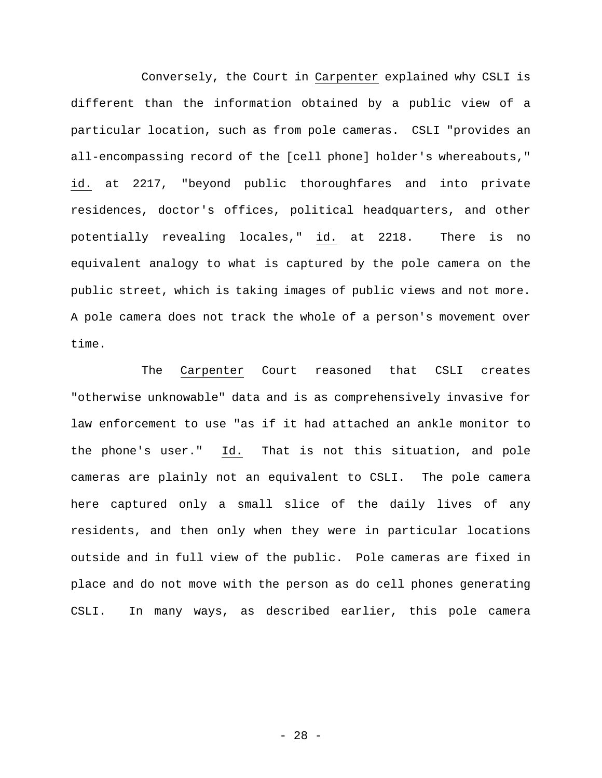Conversely, the Court in Carpenter explained why CSLI is different than the information obtained by a public view of a particular location, such as from pole cameras. CSLI "provides an all-encompassing record of the [cell phone] holder's whereabouts," id. at 2217, "beyond public thoroughfares and into private residences, doctor's offices, political headquarters, and other potentially revealing locales," id. at 2218. There is no equivalent analogy to what is captured by the pole camera on the public street, which is taking images of public views and not more. A pole camera does not track the whole of a person's movement over time.

The Carpenter Court reasoned that CSLI creates "otherwise unknowable" data and is as comprehensively invasive for law enforcement to use "as if it had attached an ankle monitor to the phone's user." Id. That is not this situation, and pole cameras are plainly not an equivalent to CSLI. The pole camera here captured only a small slice of the daily lives of any residents, and then only when they were in particular locations outside and in full view of the public. Pole cameras are fixed in place and do not move with the person as do cell phones generating CSLI. In many ways, as described earlier, this pole camera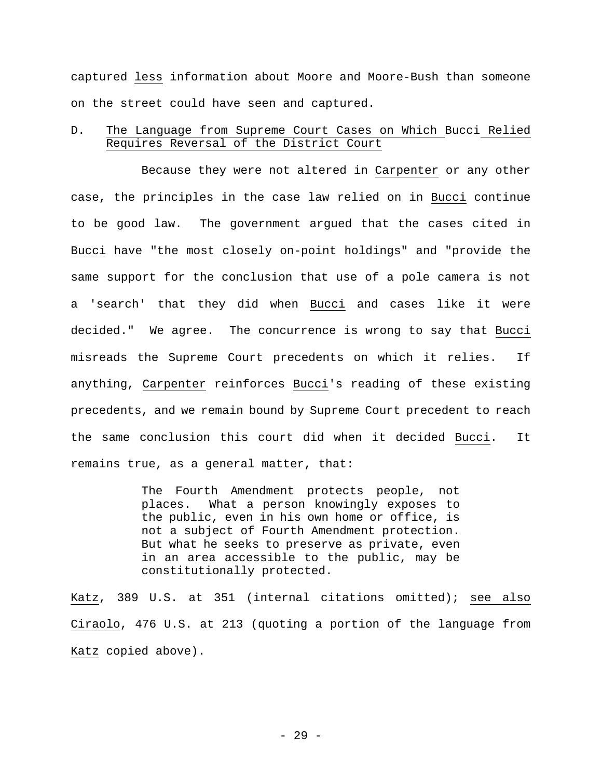captured less information about Moore and Moore-Bush than someone on the street could have seen and captured.

D. The Language from Supreme Court Cases on Which Bucci Relied Requires Reversal of the District Court

Because they were not altered in Carpenter or any other case, the principles in the case law relied on in Bucci continue to be good law. The government argued that the cases cited in Bucci have "the most closely on-point holdings" and "provide the same support for the conclusion that use of a pole camera is not a 'search' that they did when Bucci and cases like it were decided." We agree. The concurrence is wrong to say that Bucci misreads the Supreme Court precedents on which it relies. If anything, Carpenter reinforces Bucci's reading of these existing precedents, and we remain bound by Supreme Court precedent to reach the same conclusion this court did when it decided Bucci. It remains true, as a general matter, that:

> The Fourth Amendment protects people, not places. What a person knowingly exposes to the public, even in his own home or office, is not a subject of Fourth Amendment protection. But what he seeks to preserve as private, even in an area accessible to the public, may be constitutionally protected.

Katz, 389 U.S. at 351 (internal citations omitted); see also Ciraolo, 476 U.S. at 213 (quoting a portion of the language from Katz copied above).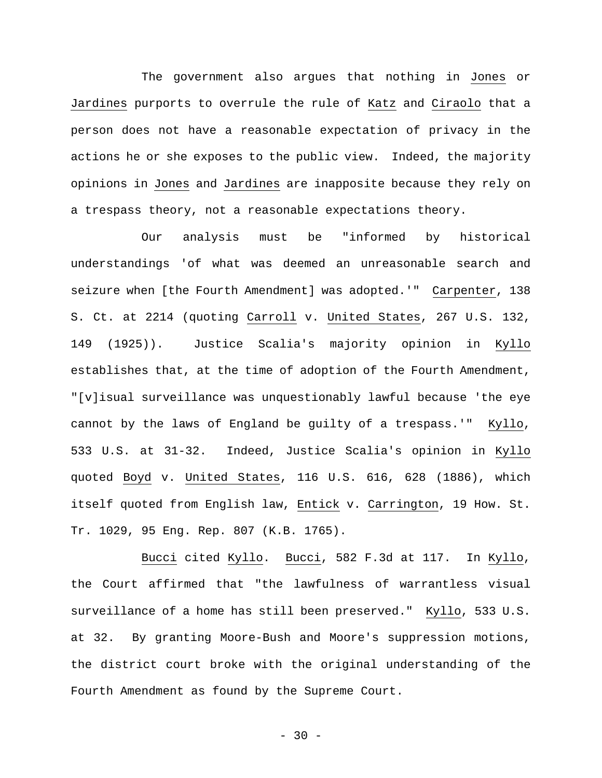The government also argues that nothing in Jones or Jardines purports to overrule the rule of Katz and Ciraolo that a person does not have a reasonable expectation of privacy in the actions he or she exposes to the public view. Indeed, the majority opinions in Jones and Jardines are inapposite because they rely on a trespass theory, not a reasonable expectations theory.

Our analysis must be "informed by historical understandings 'of what was deemed an unreasonable search and seizure when [the Fourth Amendment] was adopted.'" Carpenter, 138 S. Ct. at 2214 (quoting Carroll v. United States, 267 U.S. 132, 149 (1925)). Justice Scalia's majority opinion in Kyllo establishes that, at the time of adoption of the Fourth Amendment, "[v]isual surveillance was unquestionably lawful because 'the eye cannot by the laws of England be guilty of a trespass.'" Kyllo, 533 U.S. at 31-32. Indeed, Justice Scalia's opinion in Kyllo quoted Boyd v. United States, 116 U.S. 616, 628 (1886), which itself quoted from English law, Entick v. Carrington, 19 How. St. Tr. 1029, 95 Eng. Rep. 807 (K.B. 1765).

Bucci cited Kyllo. Bucci, 582 F.3d at 117. In Kyllo, the Court affirmed that "the lawfulness of warrantless visual surveillance of a home has still been preserved." Kyllo, 533 U.S. at 32. By granting Moore-Bush and Moore's suppression motions, the district court broke with the original understanding of the Fourth Amendment as found by the Supreme Court.

 $- 30 -$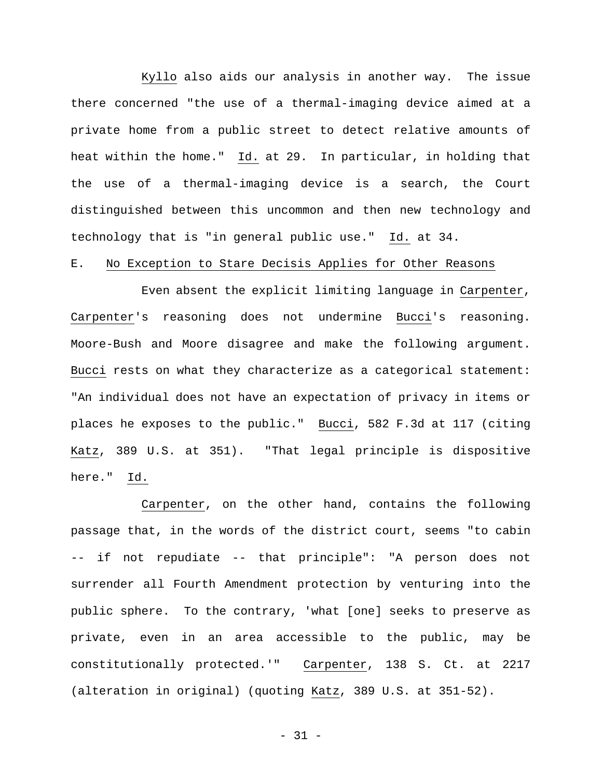Kyllo also aids our analysis in another way. The issue there concerned "the use of a thermal-imaging device aimed at a private home from a public street to detect relative amounts of heat within the home." Id. at 29. In particular, in holding that the use of a thermal-imaging device is a search, the Court distinguished between this uncommon and then new technology and technology that is "in general public use." Id. at 34.

### E. No Exception to Stare Decisis Applies for Other Reasons

 Even absent the explicit limiting language in Carpenter, Carpenter's reasoning does not undermine Bucci's reasoning. Moore-Bush and Moore disagree and make the following argument. Bucci rests on what they characterize as a categorical statement: "An individual does not have an expectation of privacy in items or places he exposes to the public." Bucci, 582 F.3d at 117 (citing Katz, 389 U.S. at 351). "That legal principle is dispositive here." Id.

 Carpenter, on the other hand, contains the following passage that, in the words of the district court, seems "to cabin -- if not repudiate -- that principle": "A person does not surrender all Fourth Amendment protection by venturing into the public sphere. To the contrary, 'what [one] seeks to preserve as private, even in an area accessible to the public, may be constitutionally protected.'" Carpenter, 138 S. Ct. at 2217 (alteration in original) (quoting Katz, 389 U.S. at 351-52).

- 31 -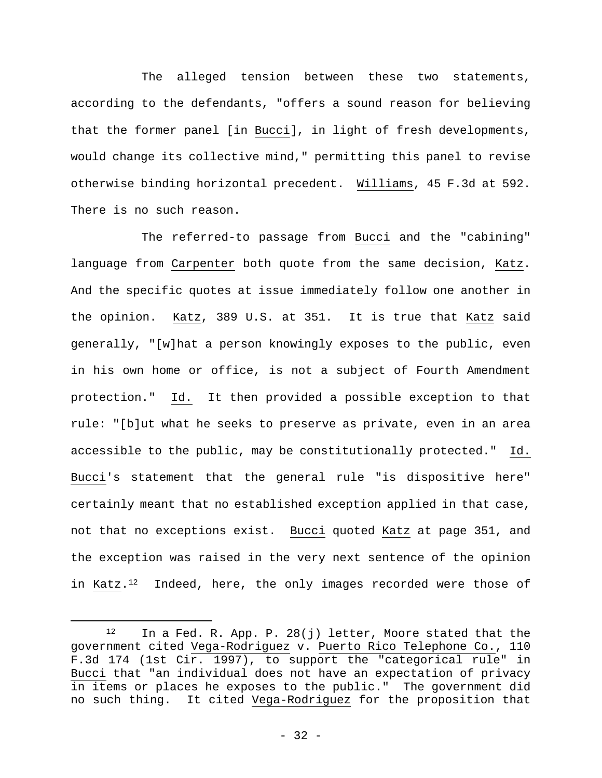The alleged tension between these two statements, according to the defendants, "offers a sound reason for believing that the former panel [in Bucci], in light of fresh developments, would change its collective mind," permitting this panel to revise otherwise binding horizontal precedent. Williams, 45 F.3d at 592. There is no such reason.

 The referred-to passage from Bucci and the "cabining" language from Carpenter both quote from the same decision, Katz. And the specific quotes at issue immediately follow one another in the opinion. Katz, 389 U.S. at 351. It is true that Katz said generally, "[w]hat a person knowingly exposes to the public, even in his own home or office, is not a subject of Fourth Amendment protection." Id. It then provided a possible exception to that rule: "[b]ut what he seeks to preserve as private, even in an area accessible to the public, may be constitutionally protected." Id. Bucci's statement that the general rule "is dispositive here" certainly meant that no established exception applied in that case, not that no exceptions exist. Bucci quoted Katz at page 351, and the exception was raised in the very next sentence of the opinion in Katz.<sup>12</sup> Indeed, here, the only images recorded were those of

<sup>12</sup> In a Fed. R. App. P. 28(j) letter, Moore stated that the government cited Vega-Rodriguez v. Puerto Rico Telephone Co., 110 F.3d 174 (1st Cir. 1997), to support the "categorical rule" in Bucci that "an individual does not have an expectation of privacy in items or places he exposes to the public." The government did no such thing. It cited Vega-Rodriguez for the proposition that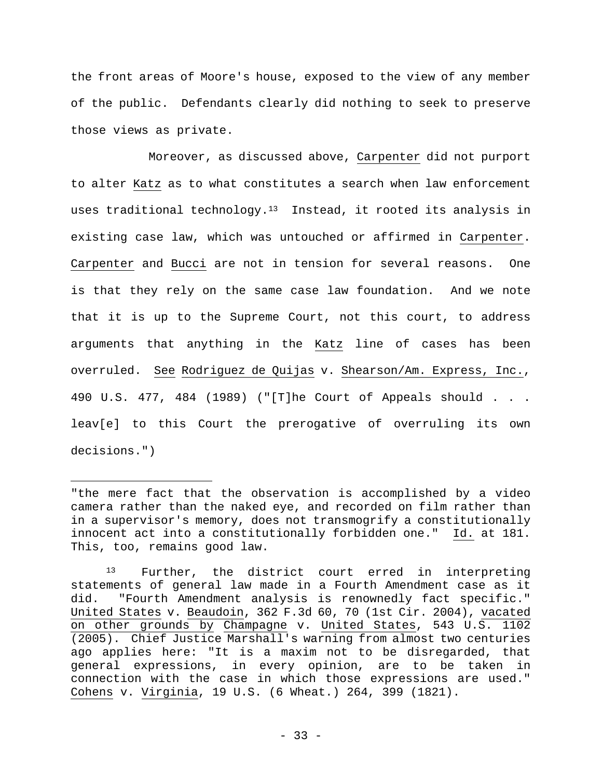the front areas of Moore's house, exposed to the view of any member of the public. Defendants clearly did nothing to seek to preserve those views as private.

 Moreover, as discussed above, Carpenter did not purport to alter Katz as to what constitutes a search when law enforcement uses traditional technology.<sup>13</sup> Instead, it rooted its analysis in existing case law, which was untouched or affirmed in Carpenter. Carpenter and Bucci are not in tension for several reasons. One is that they rely on the same case law foundation. And we note that it is up to the Supreme Court, not this court, to address arguments that anything in the Katz line of cases has been overruled. See Rodriguez de Quijas v. Shearson/Am. Express, Inc., 490 U.S. 477, 484 (1989) ("[T]he Court of Appeals should . . . leav[e] to this Court the prerogative of overruling its own decisions.")

<sup>&</sup>quot;the mere fact that the observation is accomplished by a video camera rather than the naked eye, and recorded on film rather than in a supervisor's memory, does not transmogrify a constitutionally innocent act into a constitutionally forbidden one." Id. at 181. This, too, remains good law.

<sup>13</sup> Further, the district court erred in interpreting statements of general law made in a Fourth Amendment case as it did. "Fourth Amendment analysis is renownedly fact specific." United States v. Beaudoin, 362 F.3d 60, 70 (1st Cir. 2004), vacated on other grounds by Champagne v. United States, 543 U.S. 1102 (2005). Chief Justice Marshall's warning from almost two centuries ago applies here: "It is a maxim not to be disregarded, that general expressions, in every opinion, are to be taken in connection with the case in which those expressions are used." Cohens v. Virginia, 19 U.S. (6 Wheat.) 264, 399 (1821).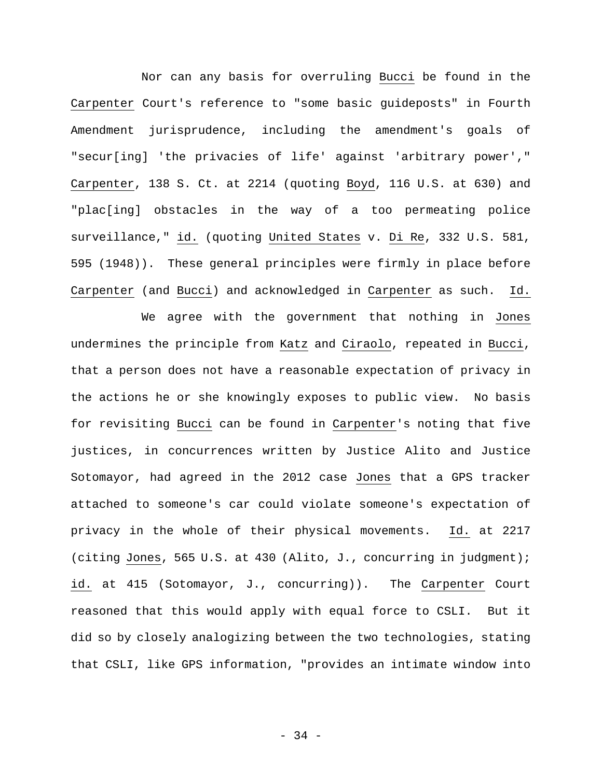Nor can any basis for overruling Bucci be found in the Carpenter Court's reference to "some basic guideposts" in Fourth Amendment jurisprudence, including the amendment's goals of "secur[ing] 'the privacies of life' against 'arbitrary power'," Carpenter, 138 S. Ct. at 2214 (quoting Boyd, 116 U.S. at 630) and "plac[ing] obstacles in the way of a too permeating police surveillance," id. (quoting United States v. Di Re, 332 U.S. 581, 595 (1948)). These general principles were firmly in place before Carpenter (and Bucci) and acknowledged in Carpenter as such. Id.

 We agree with the government that nothing in Jones undermines the principle from Katz and Ciraolo, repeated in Bucci, that a person does not have a reasonable expectation of privacy in the actions he or she knowingly exposes to public view. No basis for revisiting Bucci can be found in Carpenter's noting that five justices, in concurrences written by Justice Alito and Justice Sotomayor, had agreed in the 2012 case Jones that a GPS tracker attached to someone's car could violate someone's expectation of privacy in the whole of their physical movements. Id. at 2217 (citing Jones, 565 U.S. at 430 (Alito, J., concurring in judgment); id. at 415 (Sotomayor, J., concurring)). The Carpenter Court reasoned that this would apply with equal force to CSLI. But it did so by closely analogizing between the two technologies, stating that CSLI, like GPS information, "provides an intimate window into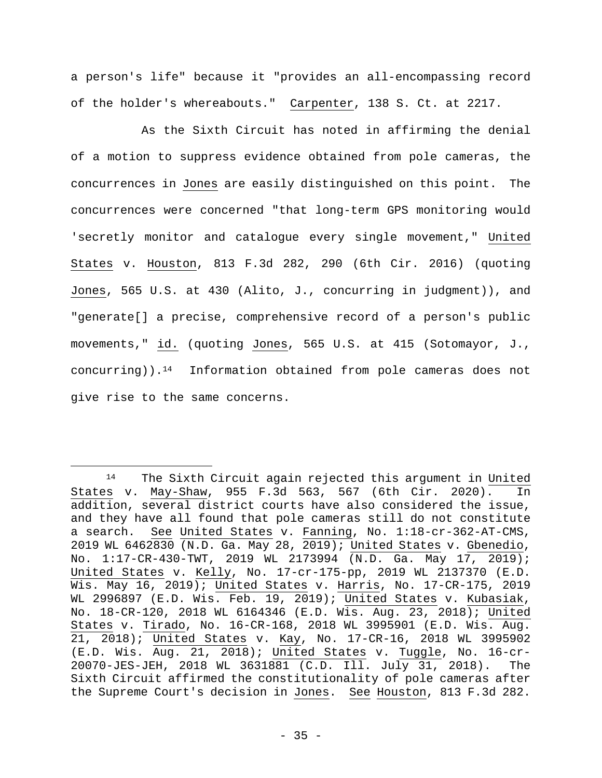a person's life" because it "provides an all-encompassing record of the holder's whereabouts." Carpenter, 138 S. Ct. at 2217.

 As the Sixth Circuit has noted in affirming the denial of a motion to suppress evidence obtained from pole cameras, the concurrences in Jones are easily distinguished on this point. The concurrences were concerned "that long-term GPS monitoring would 'secretly monitor and catalogue every single movement," United States v. Houston, 813 F.3d 282, 290 (6th Cir. 2016) (quoting Jones, 565 U.S. at 430 (Alito, J., concurring in judgment)), and "generate[] a precise, comprehensive record of a person's public movements," id. (quoting Jones, 565 U.S. at 415 (Sotomayor, J., concurring)).14 Information obtained from pole cameras does not give rise to the same concerns.

<sup>14</sup> The Sixth Circuit again rejected this argument in United States v. May-Shaw, 955 F.3d 563, 567 (6th Cir. 2020). In addition, several district courts have also considered the issue, and they have all found that pole cameras still do not constitute a search. See United States v. Fanning, No. 1:18-cr-362-AT-CMS, 2019 WL 6462830 (N.D. Ga. May 28, 2019); United States v. Gbenedio, No. 1:17-CR-430-TWT, 2019 WL 2173994 (N.D. Ga. May 17, 2019); United States v. Kelly, No. 17-cr-175-pp, 2019 WL 2137370 (E.D. Wis. May 16, 2019); United States v. Harris, No. 17-CR-175, 2019 WL 2996897 (E.D. Wis. Feb. 19, 2019); United States v. Kubasiak, No. 18-CR-120, 2018 WL 6164346 (E.D. Wis. Aug. 23, 2018); United States v. Tirado, No. 16-CR-168, 2018 WL 3995901 (E.D. Wis. Aug. 21, 2018); United States v. Kay, No. 17-CR-16, 2018 WL 3995902 (E.D. Wis. Aug. 21, 2018); United States v. Tuggle, No. 16-cr-20070-JES-JEH, 2018 WL 3631881 (C.D. Ill. July 31, 2018). The Sixth Circuit affirmed the constitutionality of pole cameras after the Supreme Court's decision in Jones. See Houston, 813 F.3d 282.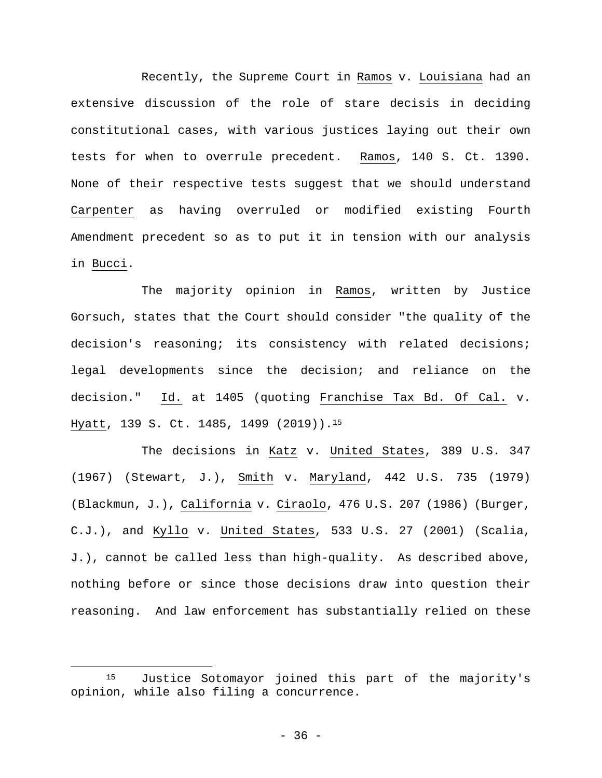Recently, the Supreme Court in Ramos v. Louisiana had an extensive discussion of the role of stare decisis in deciding constitutional cases, with various justices laying out their own tests for when to overrule precedent. Ramos, 140 S. Ct. 1390. None of their respective tests suggest that we should understand Carpenter as having overruled or modified existing Fourth Amendment precedent so as to put it in tension with our analysis in Bucci.

The majority opinion in Ramos, written by Justice Gorsuch, states that the Court should consider "the quality of the decision's reasoning; its consistency with related decisions; legal developments since the decision; and reliance on the decision." Id. at 1405 (quoting Franchise Tax Bd. Of Cal. v. Hyatt, 139 S. Ct. 1485, 1499 (2019)).15

The decisions in Katz v. United States, 389 U.S. 347 (1967) (Stewart, J.), Smith v. Maryland, 442 U.S. 735 (1979) (Blackmun, J.), California v. Ciraolo, 476 U.S. 207 (1986) (Burger, C.J.), and Kyllo v. United States, 533 U.S. 27 (2001) (Scalia, J.), cannot be called less than high-quality. As described above, nothing before or since those decisions draw into question their reasoning. And law enforcement has substantially relied on these

<sup>15</sup> Justice Sotomayor joined this part of the majority's opinion, while also filing a concurrence.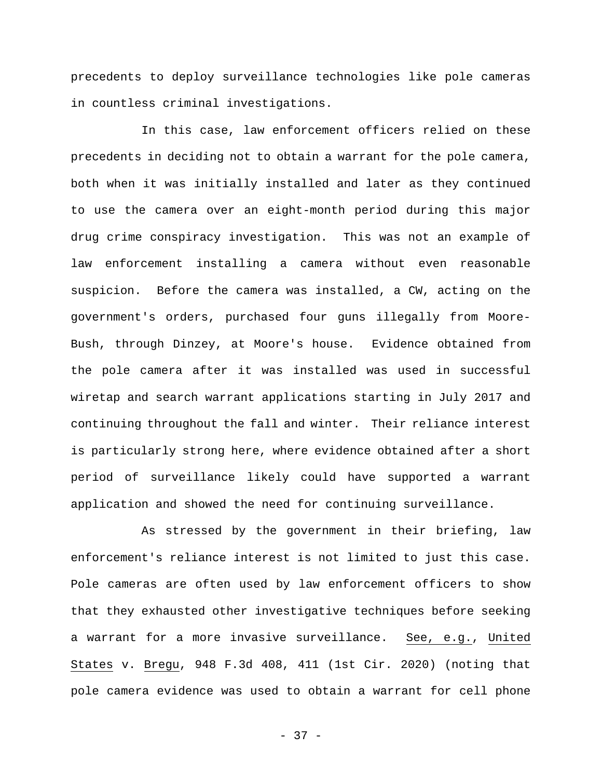precedents to deploy surveillance technologies like pole cameras in countless criminal investigations.

In this case, law enforcement officers relied on these precedents in deciding not to obtain a warrant for the pole camera, both when it was initially installed and later as they continued to use the camera over an eight-month period during this major drug crime conspiracy investigation. This was not an example of law enforcement installing a camera without even reasonable suspicion. Before the camera was installed, a CW, acting on the government's orders, purchased four guns illegally from Moore-Bush, through Dinzey, at Moore's house. Evidence obtained from the pole camera after it was installed was used in successful wiretap and search warrant applications starting in July 2017 and continuing throughout the fall and winter. Their reliance interest is particularly strong here, where evidence obtained after a short period of surveillance likely could have supported a warrant application and showed the need for continuing surveillance.

As stressed by the government in their briefing, law enforcement's reliance interest is not limited to just this case. Pole cameras are often used by law enforcement officers to show that they exhausted other investigative techniques before seeking a warrant for a more invasive surveillance. See, e.g., United States v. Bregu, 948 F.3d 408, 411 (1st Cir. 2020) (noting that pole camera evidence was used to obtain a warrant for cell phone

- 37 -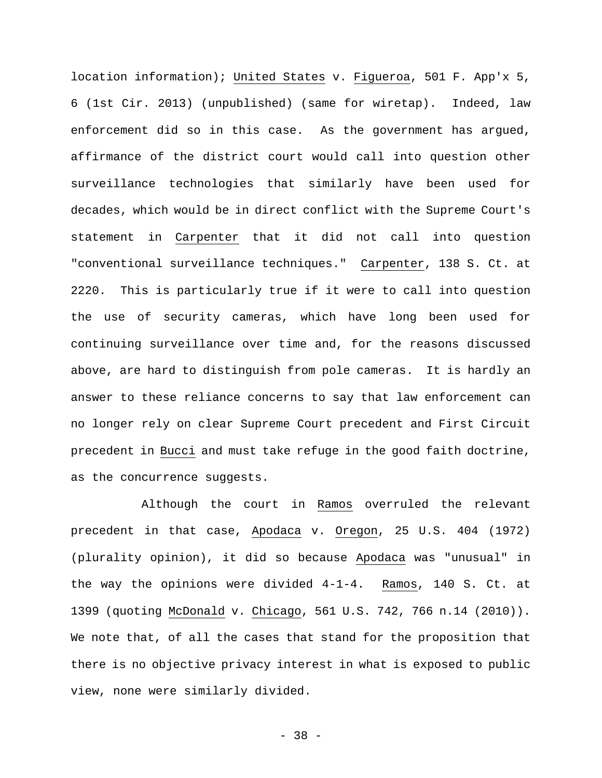location information); United States v. Figueroa, 501 F. App'x 5, 6 (1st Cir. 2013) (unpublished) (same for wiretap). Indeed, law enforcement did so in this case. As the government has argued, affirmance of the district court would call into question other surveillance technologies that similarly have been used for decades, which would be in direct conflict with the Supreme Court's statement in Carpenter that it did not call into question "conventional surveillance techniques." Carpenter, 138 S. Ct. at 2220. This is particularly true if it were to call into question the use of security cameras, which have long been used for continuing surveillance over time and, for the reasons discussed above, are hard to distinguish from pole cameras. It is hardly an answer to these reliance concerns to say that law enforcement can no longer rely on clear Supreme Court precedent and First Circuit precedent in Bucci and must take refuge in the good faith doctrine, as the concurrence suggests.

Although the court in Ramos overruled the relevant precedent in that case, Apodaca v. Oregon, 25 U.S. 404 (1972) (plurality opinion), it did so because Apodaca was "unusual" in the way the opinions were divided 4-1-4. Ramos, 140 S. Ct. at 1399 (quoting McDonald v. Chicago, 561 U.S. 742, 766 n.14 (2010)). We note that, of all the cases that stand for the proposition that there is no objective privacy interest in what is exposed to public view, none were similarly divided.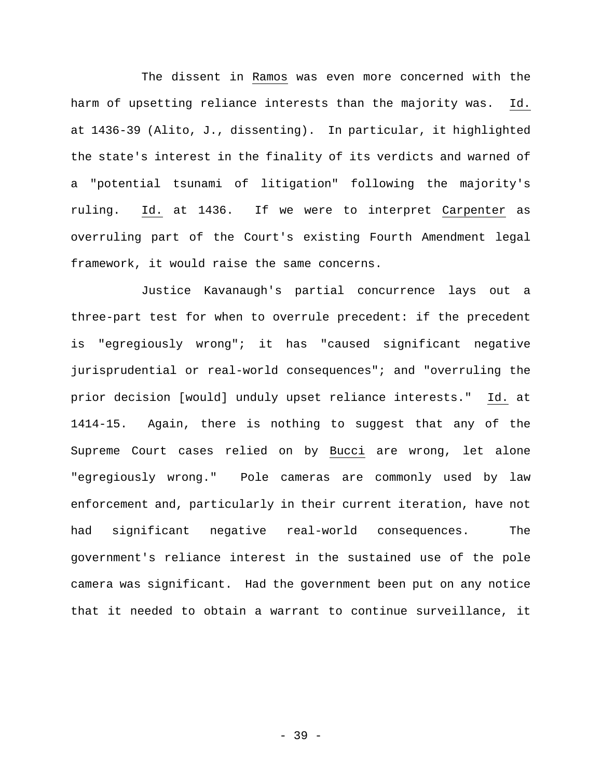The dissent in Ramos was even more concerned with the harm of upsetting reliance interests than the majority was. Id. at 1436-39 (Alito, J., dissenting). In particular, it highlighted the state's interest in the finality of its verdicts and warned of a "potential tsunami of litigation" following the majority's ruling. Id. at 1436. If we were to interpret Carpenter as overruling part of the Court's existing Fourth Amendment legal framework, it would raise the same concerns.

Justice Kavanaugh's partial concurrence lays out a three-part test for when to overrule precedent: if the precedent is "egregiously wrong"; it has "caused significant negative jurisprudential or real-world consequences"; and "overruling the prior decision [would] unduly upset reliance interests." Id. at 1414-15. Again, there is nothing to suggest that any of the Supreme Court cases relied on by Bucci are wrong, let alone "egregiously wrong." Pole cameras are commonly used by law enforcement and, particularly in their current iteration, have not had significant negative real-world consequences. The government's reliance interest in the sustained use of the pole camera was significant. Had the government been put on any notice that it needed to obtain a warrant to continue surveillance, it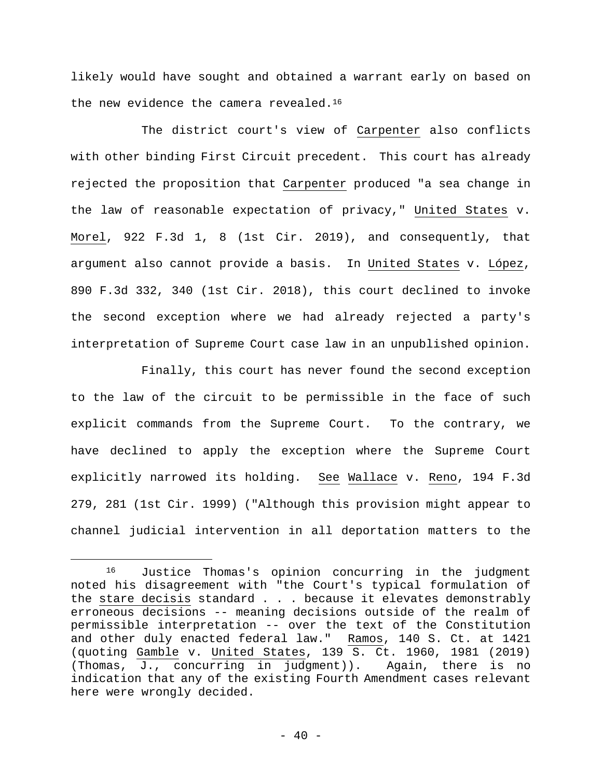likely would have sought and obtained a warrant early on based on the new evidence the camera revealed.<sup>16</sup>

 The district court's view of Carpenter also conflicts with other binding First Circuit precedent. This court has already rejected the proposition that Carpenter produced "a sea change in the law of reasonable expectation of privacy," United States v. Morel, 922 F.3d 1, 8 (1st Cir. 2019), and consequently, that argument also cannot provide a basis. In United States v. López, 890 F.3d 332, 340 (1st Cir. 2018), this court declined to invoke the second exception where we had already rejected a party's interpretation of Supreme Court case law in an unpublished opinion.

 Finally, this court has never found the second exception to the law of the circuit to be permissible in the face of such explicit commands from the Supreme Court. To the contrary, we have declined to apply the exception where the Supreme Court explicitly narrowed its holding. See Wallace v. Reno, 194 F.3d 279, 281 (1st Cir. 1999) ("Although this provision might appear to channel judicial intervention in all deportation matters to the

<sup>16</sup> Justice Thomas's opinion concurring in the judgment noted his disagreement with "the Court's typical formulation of the stare decisis standard . . . because it elevates demonstrably erroneous decisions -- meaning decisions outside of the realm of permissible interpretation -- over the text of the Constitution and other duly enacted federal law." Ramos, 140 S. Ct. at 1421 (quoting Gamble v. United States, 139 S. Ct. 1960, 1981 (2019) (Thomas, J., concurring in judgment)). Again, there is no indication that any of the existing Fourth Amendment cases relevant here were wrongly decided.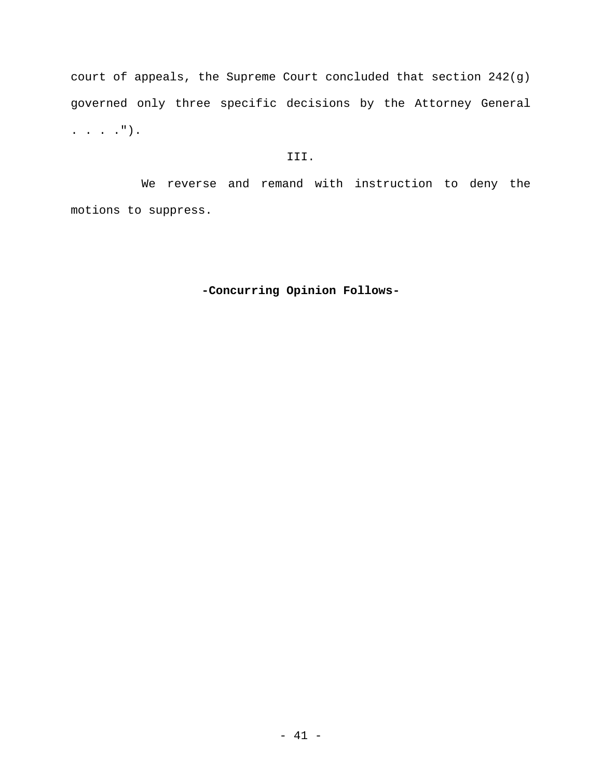court of appeals, the Supreme Court concluded that section 242(g) governed only three specific decisions by the Attorney General . . . .").

# III.

 We reverse and remand with instruction to deny the motions to suppress.

# **-Concurring Opinion Follows-**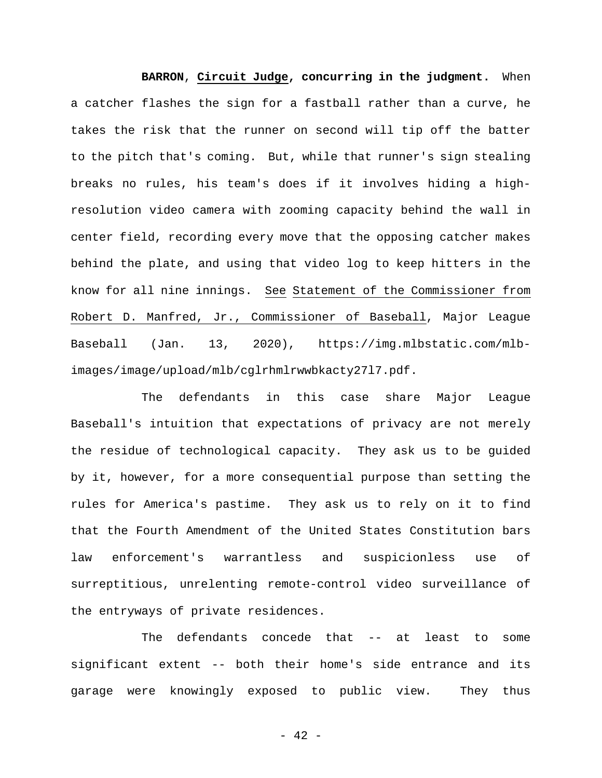**BARRON**, **Circuit Judge, concurring in the judgment.** When a catcher flashes the sign for a fastball rather than a curve, he takes the risk that the runner on second will tip off the batter to the pitch that's coming. But, while that runner's sign stealing breaks no rules, his team's does if it involves hiding a highresolution video camera with zooming capacity behind the wall in center field, recording every move that the opposing catcher makes behind the plate, and using that video log to keep hitters in the know for all nine innings. See Statement of the Commissioner from Robert D. Manfred, Jr., Commissioner of Baseball, Major League Baseball (Jan. 13, 2020), https://img.mlbstatic.com/mlbimages/image/upload/mlb/cglrhmlrwwbkacty27l7.pdf.

The defendants in this case share Major League Baseball's intuition that expectations of privacy are not merely the residue of technological capacity. They ask us to be guided by it, however, for a more consequential purpose than setting the rules for America's pastime. They ask us to rely on it to find that the Fourth Amendment of the United States Constitution bars law enforcement's warrantless and suspicionless use of surreptitious, unrelenting remote-control video surveillance of the entryways of private residences.

The defendants concede that -- at least to some significant extent -- both their home's side entrance and its garage were knowingly exposed to public view. They thus

- 42 -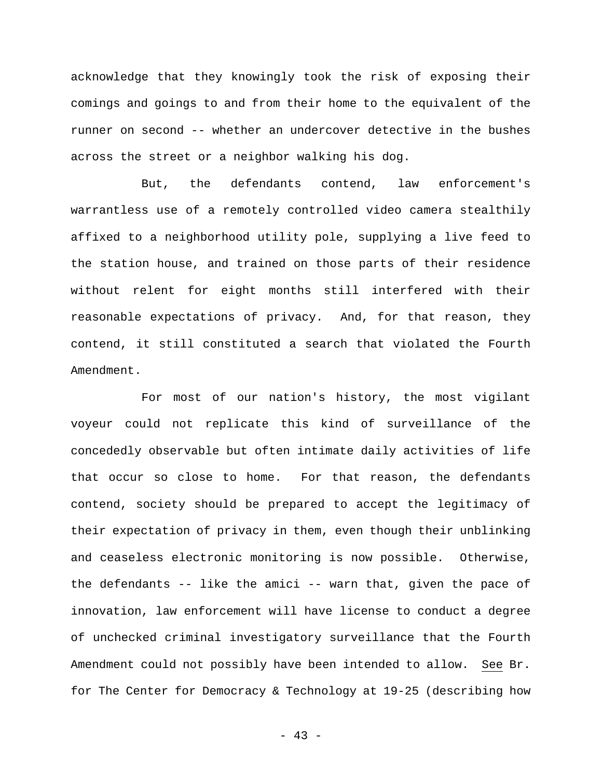acknowledge that they knowingly took the risk of exposing their comings and goings to and from their home to the equivalent of the runner on second -- whether an undercover detective in the bushes across the street or a neighbor walking his dog.

But, the defendants contend, law enforcement's warrantless use of a remotely controlled video camera stealthily affixed to a neighborhood utility pole, supplying a live feed to the station house, and trained on those parts of their residence without relent for eight months still interfered with their reasonable expectations of privacy. And, for that reason, they contend, it still constituted a search that violated the Fourth Amendment.

For most of our nation's history, the most vigilant voyeur could not replicate this kind of surveillance of the concededly observable but often intimate daily activities of life that occur so close to home. For that reason, the defendants contend, society should be prepared to accept the legitimacy of their expectation of privacy in them, even though their unblinking and ceaseless electronic monitoring is now possible. Otherwise, the defendants -- like the amici -- warn that, given the pace of innovation, law enforcement will have license to conduct a degree of unchecked criminal investigatory surveillance that the Fourth Amendment could not possibly have been intended to allow. See Br. for The Center for Democracy & Technology at 19-25 (describing how

- 43 -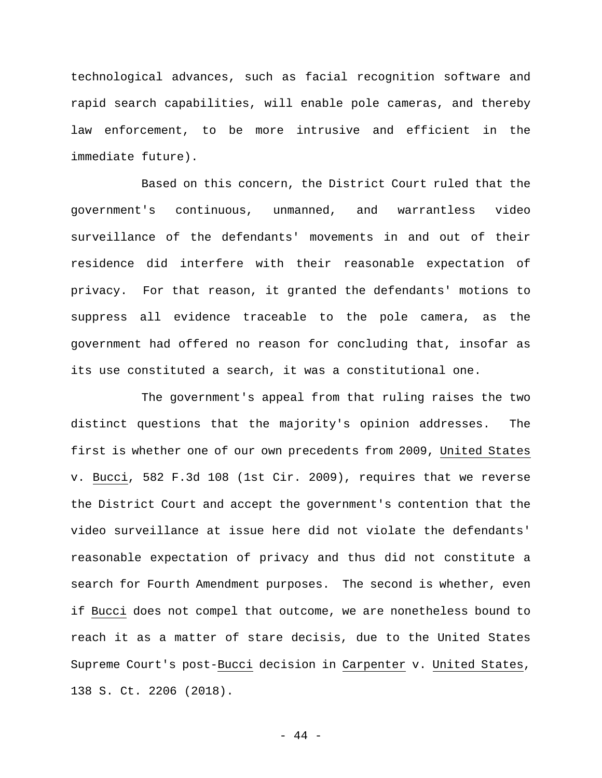technological advances, such as facial recognition software and rapid search capabilities, will enable pole cameras, and thereby law enforcement, to be more intrusive and efficient in the immediate future).

Based on this concern, the District Court ruled that the government's continuous, unmanned, and warrantless video surveillance of the defendants' movements in and out of their residence did interfere with their reasonable expectation of privacy. For that reason, it granted the defendants' motions to suppress all evidence traceable to the pole camera, as the government had offered no reason for concluding that, insofar as its use constituted a search, it was a constitutional one.

The government's appeal from that ruling raises the two distinct questions that the majority's opinion addresses. The first is whether one of our own precedents from 2009, United States v. Bucci, 582 F.3d 108 (1st Cir. 2009), requires that we reverse the District Court and accept the government's contention that the video surveillance at issue here did not violate the defendants' reasonable expectation of privacy and thus did not constitute a search for Fourth Amendment purposes. The second is whether, even if Bucci does not compel that outcome, we are nonetheless bound to reach it as a matter of stare decisis, due to the United States Supreme Court's post-Bucci decision in Carpenter v. United States, 138 S. Ct. 2206 (2018).

- 44 -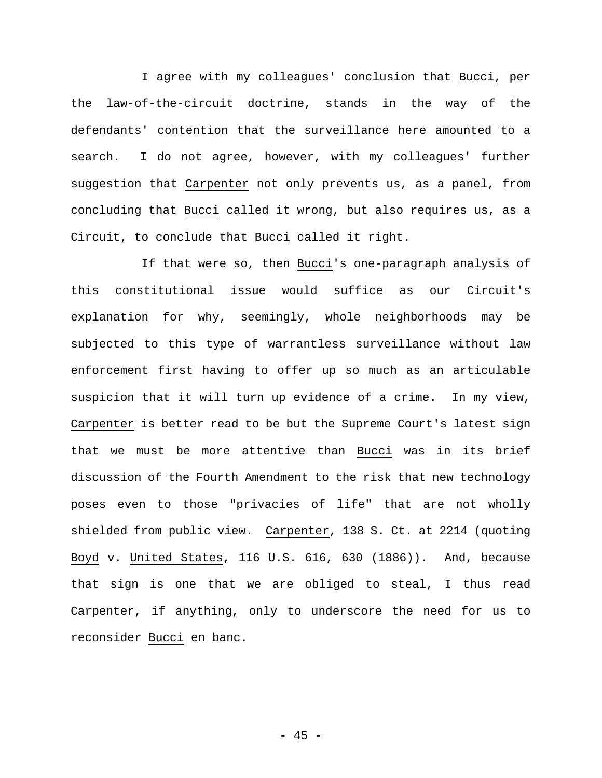I agree with my colleagues' conclusion that Bucci, per the law-of-the-circuit doctrine, stands in the way of the defendants' contention that the surveillance here amounted to a search. I do not agree, however, with my colleagues' further suggestion that Carpenter not only prevents us, as a panel, from concluding that Bucci called it wrong, but also requires us, as a Circuit, to conclude that Bucci called it right.

If that were so, then Bucci's one-paragraph analysis of this constitutional issue would suffice as our Circuit's explanation for why, seemingly, whole neighborhoods may be subjected to this type of warrantless surveillance without law enforcement first having to offer up so much as an articulable suspicion that it will turn up evidence of a crime. In my view, Carpenter is better read to be but the Supreme Court's latest sign that we must be more attentive than Bucci was in its brief discussion of the Fourth Amendment to the risk that new technology poses even to those "privacies of life" that are not wholly shielded from public view. Carpenter, 138 S. Ct. at 2214 (quoting Boyd v. United States, 116 U.S. 616, 630 (1886)). And, because that sign is one that we are obliged to steal, I thus read Carpenter, if anything, only to underscore the need for us to reconsider Bucci en banc.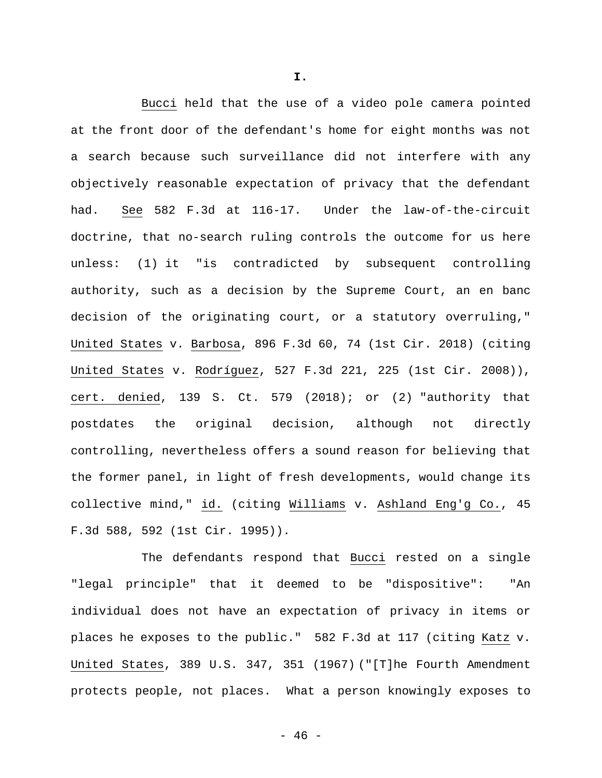Bucci held that the use of a video pole camera pointed at the front door of the defendant's home for eight months was not a search because such surveillance did not interfere with any objectively reasonable expectation of privacy that the defendant had. See 582 F.3d at 116-17. Under the law-of-the-circuit doctrine, that no-search ruling controls the outcome for us here unless: (1) it "is contradicted by subsequent controlling authority, such as a decision by the Supreme Court, an en banc decision of the originating court, or a statutory overruling," United States v. Barbosa, 896 F.3d 60, 74 (1st Cir. 2018) (citing United States v. Rodríguez, 527 F.3d 221, 225 (1st Cir. 2008)), cert. denied, 139 S. Ct. 579 (2018); or (2) "authority that postdates the original decision, although not directly controlling, nevertheless offers a sound reason for believing that the former panel, in light of fresh developments, would change its collective mind," id. (citing Williams v. Ashland Eng'g Co., 45 F.3d 588, 592 (1st Cir. 1995)).

The defendants respond that Bucci rested on a single "legal principle" that it deemed to be "dispositive": "An individual does not have an expectation of privacy in items or places he exposes to the public." 582 F.3d at 117 (citing Katz v. United States, 389 U.S. 347, 351 (1967) ("[T]he Fourth Amendment protects people, not places. What a person knowingly exposes to

**I.**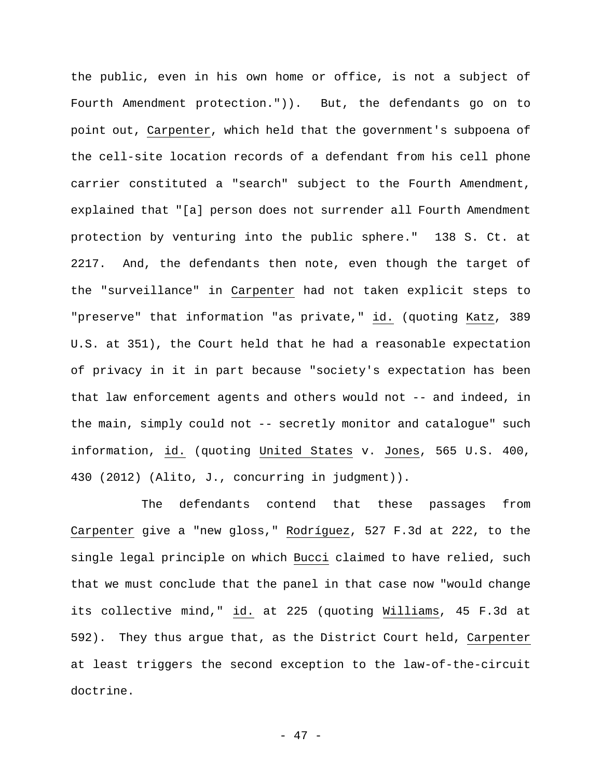the public, even in his own home or office, is not a subject of Fourth Amendment protection.")). But, the defendants go on to point out, Carpenter, which held that the government's subpoena of the cell-site location records of a defendant from his cell phone carrier constituted a "search" subject to the Fourth Amendment, explained that "[a] person does not surrender all Fourth Amendment protection by venturing into the public sphere." 138 S. Ct. at 2217. And, the defendants then note, even though the target of the "surveillance" in Carpenter had not taken explicit steps to "preserve" that information "as private," id. (quoting Katz, 389 U.S. at 351), the Court held that he had a reasonable expectation of privacy in it in part because "society's expectation has been that law enforcement agents and others would not -- and indeed, in the main, simply could not -- secretly monitor and catalogue" such information, id. (quoting United States v. Jones, 565 U.S. 400, 430 (2012) (Alito, J., concurring in judgment)).

The defendants contend that these passages from Carpenter give a "new gloss," Rodríguez, 527 F.3d at 222, to the single legal principle on which Bucci claimed to have relied, such that we must conclude that the panel in that case now "would change its collective mind," id. at 225 (quoting Williams, 45 F.3d at 592). They thus argue that, as the District Court held, Carpenter at least triggers the second exception to the law-of-the-circuit doctrine.

- 47 -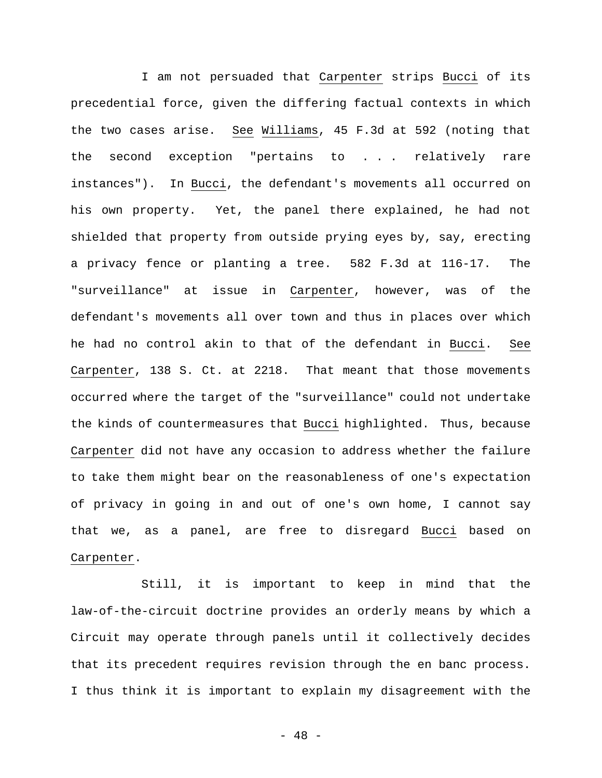I am not persuaded that Carpenter strips Bucci of its precedential force, given the differing factual contexts in which the two cases arise. See Williams, 45 F.3d at 592 (noting that the second exception "pertains to . . . relatively rare instances"). In Bucci, the defendant's movements all occurred on his own property. Yet, the panel there explained, he had not shielded that property from outside prying eyes by, say, erecting a privacy fence or planting a tree. 582 F.3d at 116-17. The "surveillance" at issue in Carpenter, however, was of the defendant's movements all over town and thus in places over which he had no control akin to that of the defendant in Bucci. See Carpenter, 138 S. Ct. at 2218. That meant that those movements occurred where the target of the "surveillance" could not undertake the kinds of countermeasures that Bucci highlighted. Thus, because Carpenter did not have any occasion to address whether the failure to take them might bear on the reasonableness of one's expectation of privacy in going in and out of one's own home, I cannot say that we, as a panel, are free to disregard Bucci based on Carpenter.

Still, it is important to keep in mind that the law-of-the-circuit doctrine provides an orderly means by which a Circuit may operate through panels until it collectively decides that its precedent requires revision through the en banc process. I thus think it is important to explain my disagreement with the

- 48 -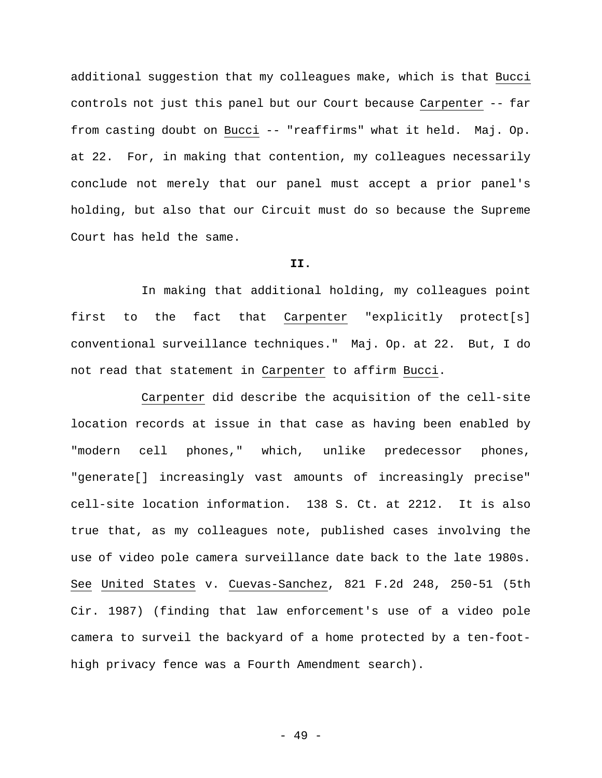additional suggestion that my colleagues make, which is that Bucci controls not just this panel but our Court because Carpenter -- far from casting doubt on Bucci -- "reaffirms" what it held. Maj. Op. at 22. For, in making that contention, my colleagues necessarily conclude not merely that our panel must accept a prior panel's holding, but also that our Circuit must do so because the Supreme Court has held the same.

#### **II.**

In making that additional holding, my colleagues point first to the fact that Carpenter "explicitly protect[s] conventional surveillance techniques." Maj. Op. at 22. But, I do not read that statement in Carpenter to affirm Bucci.

Carpenter did describe the acquisition of the cell-site location records at issue in that case as having been enabled by "modern cell phones," which, unlike predecessor phones, "generate[] increasingly vast amounts of increasingly precise" cell-site location information. 138 S. Ct. at 2212. It is also true that, as my colleagues note, published cases involving the use of video pole camera surveillance date back to the late 1980s. See United States v. Cuevas-Sanchez, 821 F.2d 248, 250-51 (5th Cir. 1987) (finding that law enforcement's use of a video pole camera to surveil the backyard of a home protected by a ten-foothigh privacy fence was a Fourth Amendment search).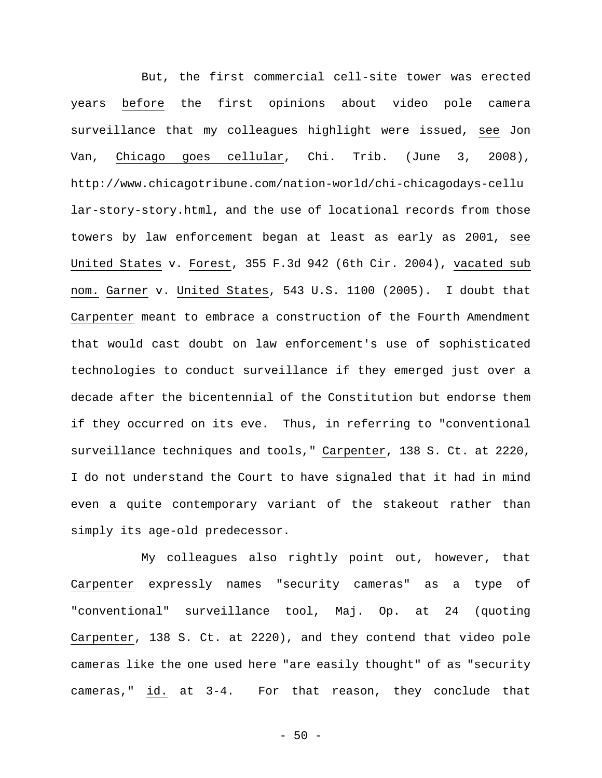But, the first commercial cell-site tower was erected years before the first opinions about video pole camera surveillance that my colleagues highlight were issued, see Jon Van, Chicago goes cellular, Chi. Trib. (June 3, 2008), http://www.chicagotribune.com/nation-world/chi-chicagodays-cellu lar-story-story.html, and the use of locational records from those towers by law enforcement began at least as early as 2001, see United States v. Forest, 355 F.3d 942 (6th Cir. 2004), vacated sub nom. Garner v. United States, 543 U.S. 1100 (2005). I doubt that Carpenter meant to embrace a construction of the Fourth Amendment that would cast doubt on law enforcement's use of sophisticated technologies to conduct surveillance if they emerged just over a decade after the bicentennial of the Constitution but endorse them if they occurred on its eve. Thus, in referring to "conventional surveillance techniques and tools," Carpenter, 138 S. Ct. at 2220, I do not understand the Court to have signaled that it had in mind even a quite contemporary variant of the stakeout rather than simply its age-old predecessor.

My colleagues also rightly point out, however, that Carpenter expressly names "security cameras" as a type of "conventional" surveillance tool, Maj. Op. at 24 (quoting Carpenter, 138 S. Ct. at 2220), and they contend that video pole cameras like the one used here "are easily thought" of as "security cameras," id. at 3-4. For that reason, they conclude that

 $-50 -$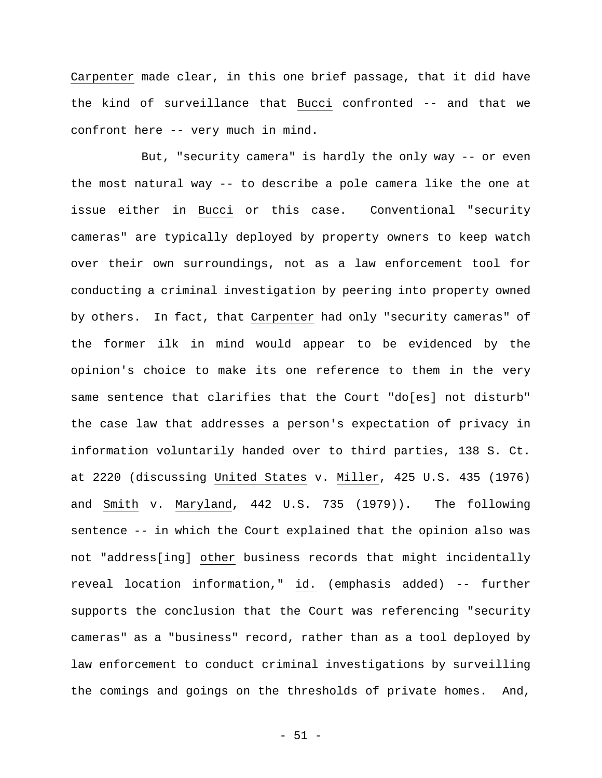Carpenter made clear, in this one brief passage, that it did have the kind of surveillance that Bucci confronted -- and that we confront here -- very much in mind.

But, "security camera" is hardly the only way -- or even the most natural way -- to describe a pole camera like the one at issue either in Bucci or this case. Conventional "security cameras" are typically deployed by property owners to keep watch over their own surroundings, not as a law enforcement tool for conducting a criminal investigation by peering into property owned by others. In fact, that Carpenter had only "security cameras" of the former ilk in mind would appear to be evidenced by the opinion's choice to make its one reference to them in the very same sentence that clarifies that the Court "do[es] not disturb" the case law that addresses a person's expectation of privacy in information voluntarily handed over to third parties, 138 S. Ct. at 2220 (discussing United States v. Miller, 425 U.S. 435 (1976) and Smith v. Maryland, 442 U.S. 735 (1979)). The following sentence -- in which the Court explained that the opinion also was not "address[ing] other business records that might incidentally reveal location information," id. (emphasis added) -- further supports the conclusion that the Court was referencing "security cameras" as a "business" record, rather than as a tool deployed by law enforcement to conduct criminal investigations by surveilling the comings and goings on the thresholds of private homes. And,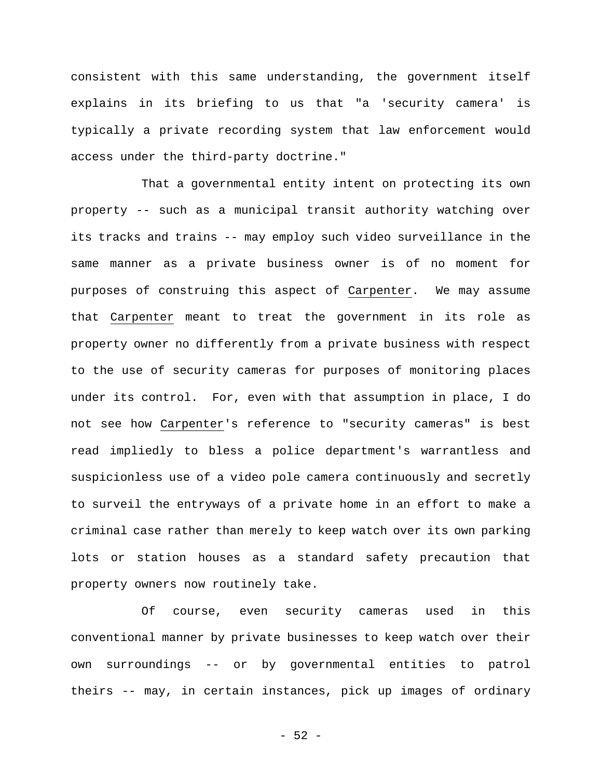consistent with this same understanding, the government itself explains in its briefing to us that "a 'security camera' is typically a private recording system that law enforcement would access under the third-party doctrine."

That a governmental entity intent on protecting its own property -- such as a municipal transit authority watching over its tracks and trains -- may employ such video surveillance in the same manner as a private business owner is of no moment for purposes of construing this aspect of Carpenter. We may assume that Carpenter meant to treat the government in its role as property owner no differently from a private business with respect to the use of security cameras for purposes of monitoring places under its control. For, even with that assumption in place, I do not see how Carpenter's reference to "security cameras" is best read impliedly to bless a police department's warrantless and suspicionless use of a video pole camera continuously and secretly to surveil the entryways of a private home in an effort to make a criminal case rather than merely to keep watch over its own parking lots or station houses as a standard safety precaution that property owners now routinely take.

Of course, even security cameras used in this conventional manner by private businesses to keep watch over their own surroundings -- or by governmental entities to patrol theirs -- may, in certain instances, pick up images of ordinary

 $-52 -$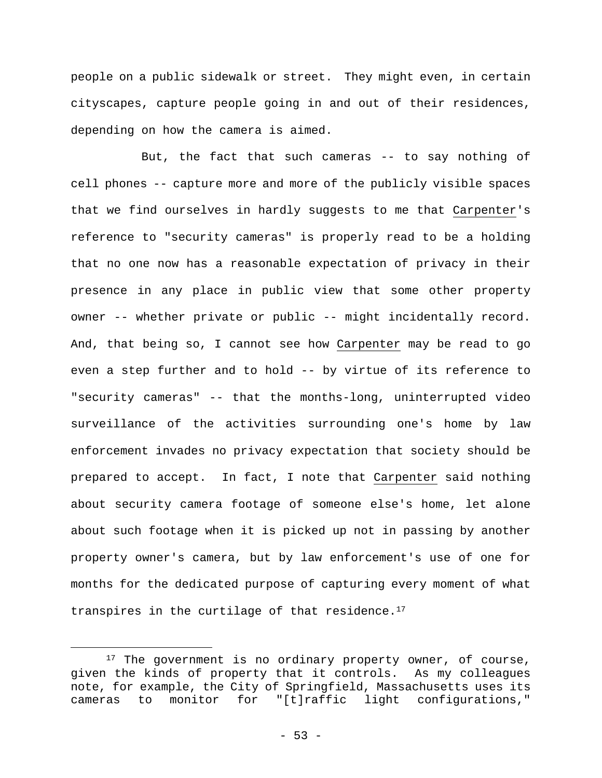people on a public sidewalk or street. They might even, in certain cityscapes, capture people going in and out of their residences, depending on how the camera is aimed.

But, the fact that such cameras -- to say nothing of cell phones -- capture more and more of the publicly visible spaces that we find ourselves in hardly suggests to me that Carpenter's reference to "security cameras" is properly read to be a holding that no one now has a reasonable expectation of privacy in their presence in any place in public view that some other property owner -- whether private or public -- might incidentally record. And, that being so, I cannot see how Carpenter may be read to go even a step further and to hold -- by virtue of its reference to "security cameras" -- that the months-long, uninterrupted video surveillance of the activities surrounding one's home by law enforcement invades no privacy expectation that society should be prepared to accept. In fact, I note that Carpenter said nothing about security camera footage of someone else's home, let alone about such footage when it is picked up not in passing by another property owner's camera, but by law enforcement's use of one for months for the dedicated purpose of capturing every moment of what transpires in the curtilage of that residence. $17$ 

<sup>&</sup>lt;sup>17</sup> The government is no ordinary property owner, of course, given the kinds of property that it controls. As my colleagues note, for example, the City of Springfield, Massachusetts uses its cameras to monitor for "[t]raffic light configurations,"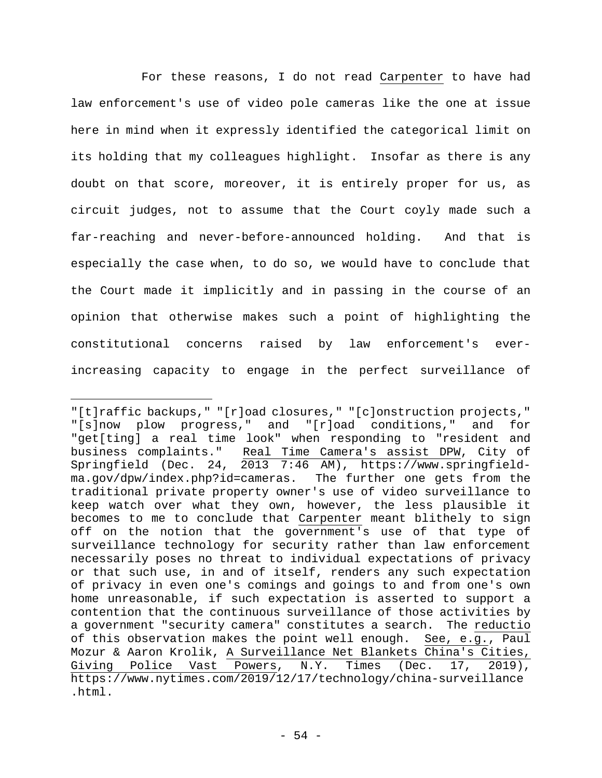For these reasons, I do not read Carpenter to have had law enforcement's use of video pole cameras like the one at issue here in mind when it expressly identified the categorical limit on its holding that my colleagues highlight. Insofar as there is any doubt on that score, moreover, it is entirely proper for us, as circuit judges, not to assume that the Court coyly made such a far-reaching and never-before-announced holding. And that is especially the case when, to do so, we would have to conclude that the Court made it implicitly and in passing in the course of an opinion that otherwise makes such a point of highlighting the constitutional concerns raised by law enforcement's everincreasing capacity to engage in the perfect surveillance of

<sup>&</sup>quot;[t]raffic backups," "[r]oad closures," "[c]onstruction projects," "[s]now plow progress," and "[r]oad conditions," and for "get[ting] a real time look" when responding to "resident and business complaints." Real Time Camera's assist DPW, City of Springfield (Dec. 24, 2013 7:46 AM), https://www.springfieldma.gov/dpw/index.php?id=cameras. The further one gets from the traditional private property owner's use of video surveillance to keep watch over what they own, however, the less plausible it becomes to me to conclude that Carpenter meant blithely to sign off on the notion that the government's use of that type of surveillance technology for security rather than law enforcement necessarily poses no threat to individual expectations of privacy or that such use, in and of itself, renders any such expectation of privacy in even one's comings and goings to and from one's own home unreasonable, if such expectation is asserted to support a contention that the continuous surveillance of those activities by a government "security camera" constitutes a search. The reductio of this observation makes the point well enough. See, e.g., Paul Mozur & Aaron Krolik, A Surveillance Net Blankets China's Cities, Giving Police Vast Powers, N.Y. Times (Dec. 17, 2019), https://www.nytimes.com/2019/12/17/technology/china-surveillance .html.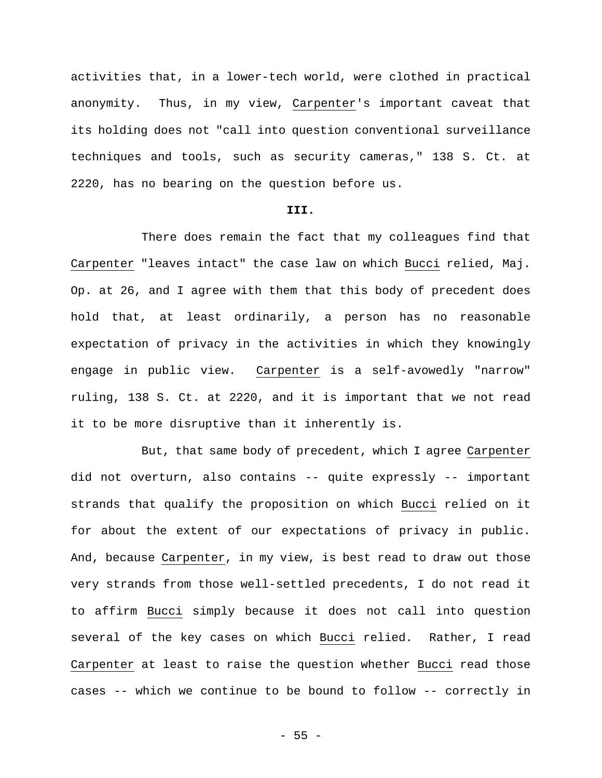activities that, in a lower-tech world, were clothed in practical anonymity. Thus, in my view, Carpenter's important caveat that its holding does not "call into question conventional surveillance techniques and tools, such as security cameras," 138 S. Ct. at 2220, has no bearing on the question before us.

## **III.**

There does remain the fact that my colleagues find that Carpenter "leaves intact" the case law on which Bucci relied, Maj. Op. at 26, and I agree with them that this body of precedent does hold that, at least ordinarily, a person has no reasonable expectation of privacy in the activities in which they knowingly engage in public view. Carpenter is a self-avowedly "narrow" ruling, 138 S. Ct. at 2220, and it is important that we not read it to be more disruptive than it inherently is.

But, that same body of precedent, which I agree Carpenter did not overturn, also contains -- quite expressly -- important strands that qualify the proposition on which Bucci relied on it for about the extent of our expectations of privacy in public. And, because Carpenter, in my view, is best read to draw out those very strands from those well-settled precedents, I do not read it to affirm Bucci simply because it does not call into question several of the key cases on which Bucci relied. Rather, I read Carpenter at least to raise the question whether Bucci read those cases -- which we continue to be bound to follow -- correctly in

 $- 55 -$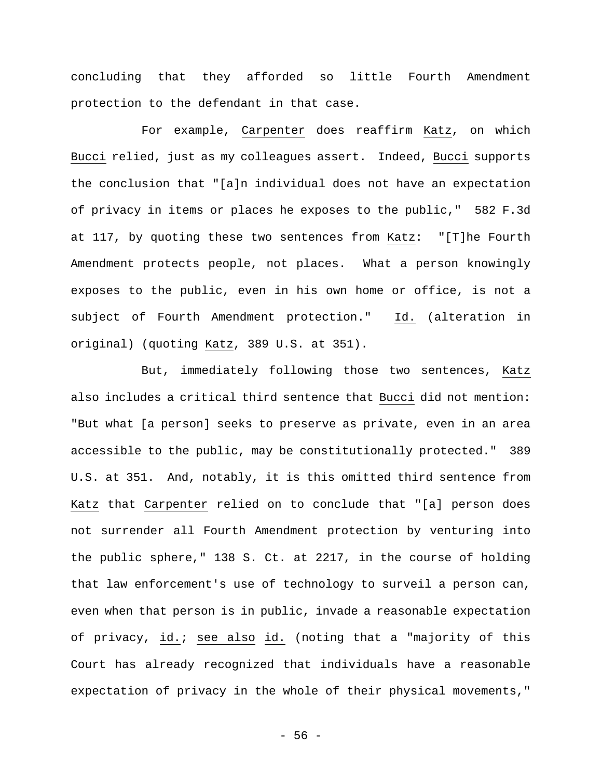concluding that they afforded so little Fourth Amendment protection to the defendant in that case.

For example, Carpenter does reaffirm Katz, on which Bucci relied, just as my colleagues assert. Indeed, Bucci supports the conclusion that "[a]n individual does not have an expectation of privacy in items or places he exposes to the public," 582 F.3d at 117, by quoting these two sentences from Katz: "[T]he Fourth Amendment protects people, not places. What a person knowingly exposes to the public, even in his own home or office, is not a subject of Fourth Amendment protection." Id. (alteration in original) (quoting Katz, 389 U.S. at 351).

But, immediately following those two sentences, Katz also includes a critical third sentence that Bucci did not mention: "But what [a person] seeks to preserve as private, even in an area accessible to the public, may be constitutionally protected." 389 U.S. at 351. And, notably, it is this omitted third sentence from Katz that Carpenter relied on to conclude that "[a] person does not surrender all Fourth Amendment protection by venturing into the public sphere," 138 S. Ct. at 2217, in the course of holding that law enforcement's use of technology to surveil a person can, even when that person is in public, invade a reasonable expectation of privacy, id.; see also id. (noting that a "majority of this Court has already recognized that individuals have a reasonable expectation of privacy in the whole of their physical movements,"

- 56 -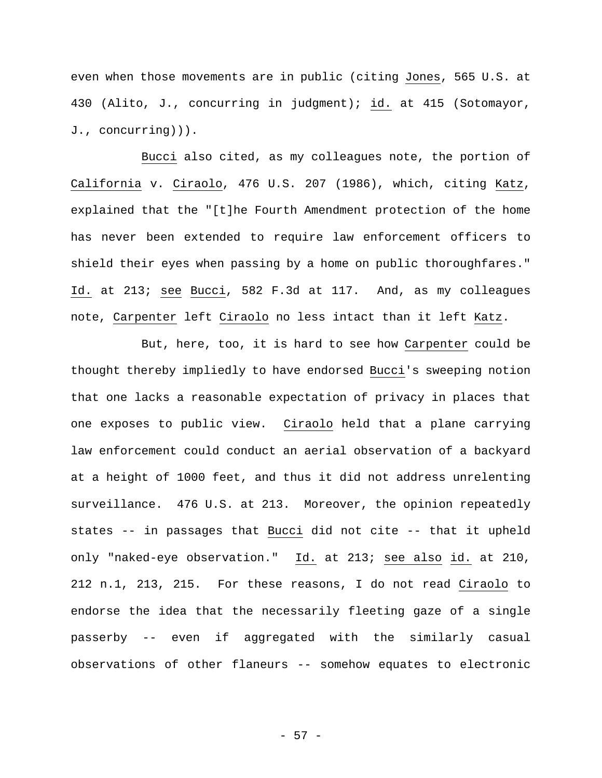even when those movements are in public (citing Jones, 565 U.S. at 430 (Alito, J., concurring in judgment); id. at 415 (Sotomayor, J., concurring))).

Bucci also cited, as my colleagues note, the portion of California v. Ciraolo, 476 U.S. 207 (1986), which, citing Katz, explained that the "[t]he Fourth Amendment protection of the home has never been extended to require law enforcement officers to shield their eyes when passing by a home on public thoroughfares." Id. at 213; see Bucci, 582 F.3d at 117. And, as my colleagues note, Carpenter left Ciraolo no less intact than it left Katz.

But, here, too, it is hard to see how Carpenter could be thought thereby impliedly to have endorsed Bucci's sweeping notion that one lacks a reasonable expectation of privacy in places that one exposes to public view. Ciraolo held that a plane carrying law enforcement could conduct an aerial observation of a backyard at a height of 1000 feet, and thus it did not address unrelenting surveillance. 476 U.S. at 213. Moreover, the opinion repeatedly states -- in passages that Bucci did not cite -- that it upheld only "naked-eye observation." Id. at 213; see also id. at 210, 212 n.1, 213, 215. For these reasons, I do not read Ciraolo to endorse the idea that the necessarily fleeting gaze of a single passerby -- even if aggregated with the similarly casual observations of other flaneurs -- somehow equates to electronic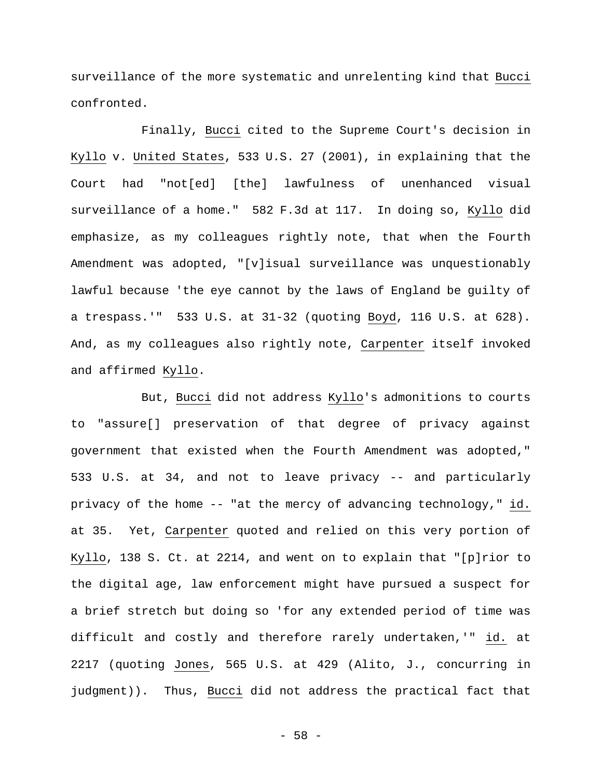surveillance of the more systematic and unrelenting kind that Bucci confronted.

Finally, Bucci cited to the Supreme Court's decision in Kyllo v. United States, 533 U.S. 27 (2001), in explaining that the Court had "not[ed] [the] lawfulness of unenhanced visual surveillance of a home." 582 F.3d at 117. In doing so, Kyllo did emphasize, as my colleagues rightly note, that when the Fourth Amendment was adopted, "[v]isual surveillance was unquestionably lawful because 'the eye cannot by the laws of England be guilty of a trespass.'" 533 U.S. at 31-32 (quoting Boyd, 116 U.S. at 628). And, as my colleagues also rightly note, Carpenter itself invoked and affirmed Kyllo.

But, Bucci did not address Kyllo's admonitions to courts to "assure[] preservation of that degree of privacy against government that existed when the Fourth Amendment was adopted," 533 U.S. at 34, and not to leave privacy -- and particularly privacy of the home -- "at the mercy of advancing technology," id. at 35. Yet, Carpenter quoted and relied on this very portion of Kyllo, 138 S. Ct. at 2214, and went on to explain that "[p]rior to the digital age, law enforcement might have pursued a suspect for a brief stretch but doing so 'for any extended period of time was difficult and costly and therefore rarely undertaken,'" id. at 2217 (quoting Jones, 565 U.S. at 429 (Alito, J., concurring in judgment)). Thus, Bucci did not address the practical fact that

- 58 -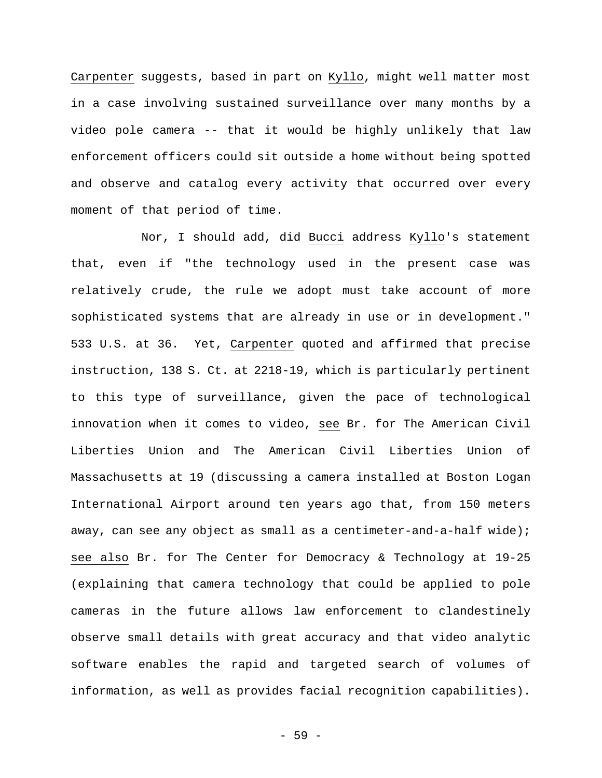Carpenter suggests, based in part on Kyllo, might well matter most in a case involving sustained surveillance over many months by a video pole camera -- that it would be highly unlikely that law enforcement officers could sit outside a home without being spotted and observe and catalog every activity that occurred over every moment of that period of time.

Nor, I should add, did Bucci address Kyllo's statement that, even if "the technology used in the present case was relatively crude, the rule we adopt must take account of more sophisticated systems that are already in use or in development." 533 U.S. at 36. Yet, Carpenter quoted and affirmed that precise instruction, 138 S. Ct. at 2218-19, which is particularly pertinent to this type of surveillance, given the pace of technological innovation when it comes to video, see Br. for The American Civil Liberties Union and The American Civil Liberties Union of Massachusetts at 19 (discussing a camera installed at Boston Logan International Airport around ten years ago that, from 150 meters away, can see any object as small as a centimeter-and-a-half wide); see also Br. for The Center for Democracy & Technology at 19-25 (explaining that camera technology that could be applied to pole cameras in the future allows law enforcement to clandestinely observe small details with great accuracy and that video analytic software enables the rapid and targeted search of volumes of information, as well as provides facial recognition capabilities).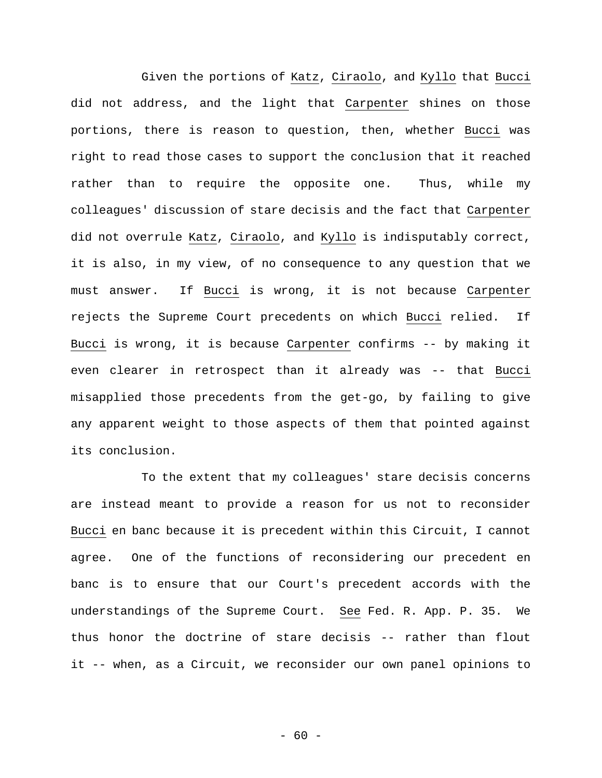Given the portions of Katz, Ciraolo, and Kyllo that Bucci did not address, and the light that Carpenter shines on those portions, there is reason to question, then, whether Bucci was right to read those cases to support the conclusion that it reached rather than to require the opposite one. Thus, while my colleagues' discussion of stare decisis and the fact that Carpenter did not overrule Katz, Ciraolo, and Kyllo is indisputably correct, it is also, in my view, of no consequence to any question that we must answer. If Bucci is wrong, it is not because Carpenter rejects the Supreme Court precedents on which Bucci relied. If Bucci is wrong, it is because Carpenter confirms -- by making it even clearer in retrospect than it already was -- that Bucci misapplied those precedents from the get-go, by failing to give any apparent weight to those aspects of them that pointed against its conclusion.

To the extent that my colleagues' stare decisis concerns are instead meant to provide a reason for us not to reconsider Bucci en banc because it is precedent within this Circuit, I cannot agree. One of the functions of reconsidering our precedent en banc is to ensure that our Court's precedent accords with the understandings of the Supreme Court. See Fed. R. App. P. 35. We thus honor the doctrine of stare decisis -- rather than flout it -- when, as a Circuit, we reconsider our own panel opinions to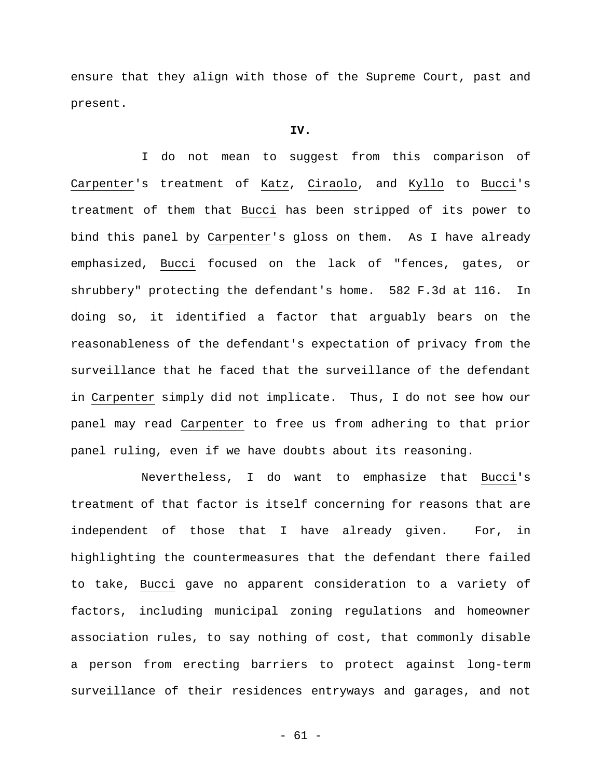ensure that they align with those of the Supreme Court, past and present.

#### **IV.**

I do not mean to suggest from this comparison of Carpenter's treatment of Katz, Ciraolo, and Kyllo to Bucci's treatment of them that Bucci has been stripped of its power to bind this panel by Carpenter's gloss on them. As I have already emphasized, Bucci focused on the lack of "fences, gates, or shrubbery" protecting the defendant's home. 582 F.3d at 116. In doing so, it identified a factor that arguably bears on the reasonableness of the defendant's expectation of privacy from the surveillance that he faced that the surveillance of the defendant in Carpenter simply did not implicate. Thus, I do not see how our panel may read Carpenter to free us from adhering to that prior panel ruling, even if we have doubts about its reasoning.

Nevertheless, I do want to emphasize that Bucci**'**s treatment of that factor is itself concerning for reasons that are independent of those that I have already given. For, in highlighting the countermeasures that the defendant there failed to take, Bucci gave no apparent consideration to a variety of factors, including municipal zoning regulations and homeowner association rules, to say nothing of cost, that commonly disable a person from erecting barriers to protect against long-term surveillance of their residences entryways and garages, and not

- 61 -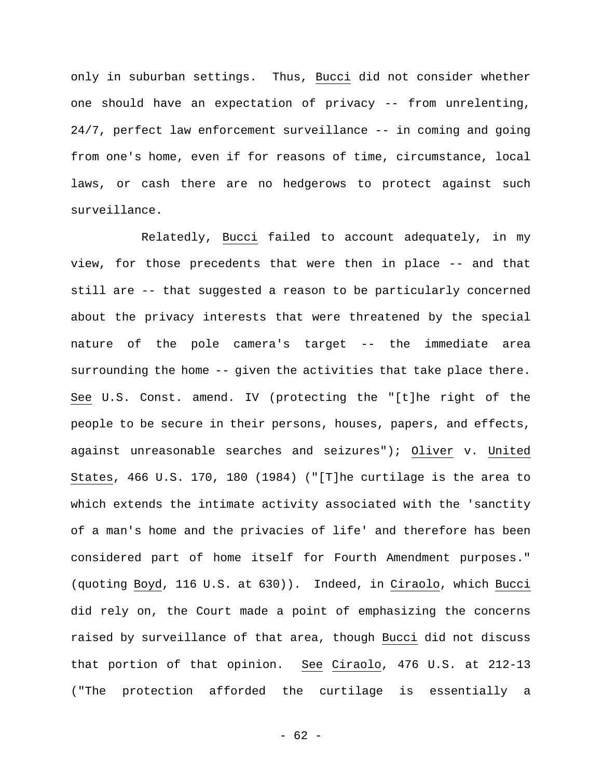only in suburban settings. Thus, Bucci did not consider whether one should have an expectation of privacy -- from unrelenting, 24/7, perfect law enforcement surveillance -- in coming and going from one's home, even if for reasons of time, circumstance, local laws, or cash there are no hedgerows to protect against such surveillance.

Relatedly, Bucci failed to account adequately, in my view, for those precedents that were then in place -- and that still are -- that suggested a reason to be particularly concerned about the privacy interests that were threatened by the special nature of the pole camera's target -- the immediate area surrounding the home -- given the activities that take place there. See U.S. Const. amend. IV (protecting the "[t]he right of the people to be secure in their persons, houses, papers, and effects, against unreasonable searches and seizures"); Oliver v. United States, 466 U.S. 170, 180 (1984) ("[T]he curtilage is the area to which extends the intimate activity associated with the 'sanctity of a man's home and the privacies of life' and therefore has been considered part of home itself for Fourth Amendment purposes." (quoting Boyd, 116 U.S. at 630)). Indeed, in Ciraolo, which Bucci did rely on, the Court made a point of emphasizing the concerns raised by surveillance of that area, though Bucci did not discuss that portion of that opinion. See Ciraolo, 476 U.S. at 212-13 ("The protection afforded the curtilage is essentially a

- 62 -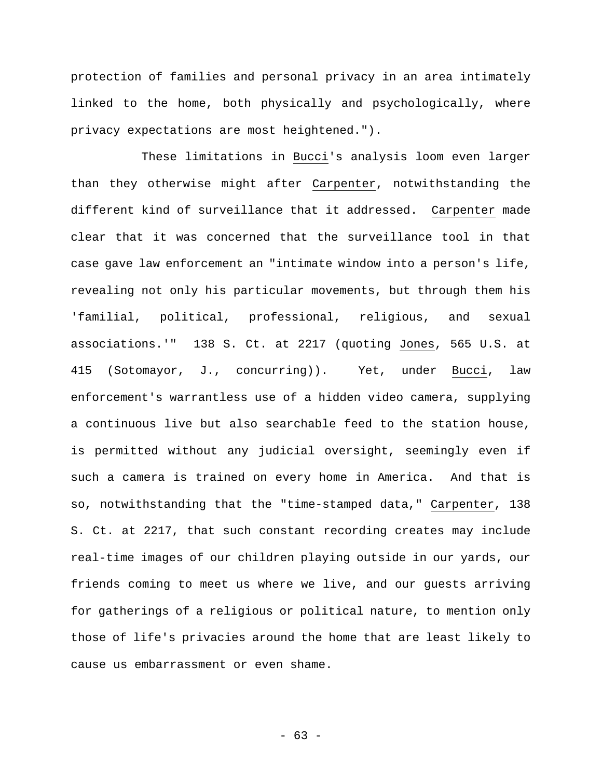protection of families and personal privacy in an area intimately linked to the home, both physically and psychologically, where privacy expectations are most heightened.").

These limitations in Bucci's analysis loom even larger than they otherwise might after Carpenter, notwithstanding the different kind of surveillance that it addressed. Carpenter made clear that it was concerned that the surveillance tool in that case gave law enforcement an "intimate window into a person's life, revealing not only his particular movements, but through them his 'familial, political, professional, religious, and sexual associations.'" 138 S. Ct. at 2217 (quoting Jones, 565 U.S. at 415 (Sotomayor, J., concurring)). Yet, under Bucci, law enforcement's warrantless use of a hidden video camera, supplying a continuous live but also searchable feed to the station house, is permitted without any judicial oversight, seemingly even if such a camera is trained on every home in America. And that is so, notwithstanding that the "time-stamped data," Carpenter, 138 S. Ct. at 2217, that such constant recording creates may include real-time images of our children playing outside in our yards, our friends coming to meet us where we live, and our guests arriving for gatherings of a religious or political nature, to mention only those of life's privacies around the home that are least likely to cause us embarrassment or even shame.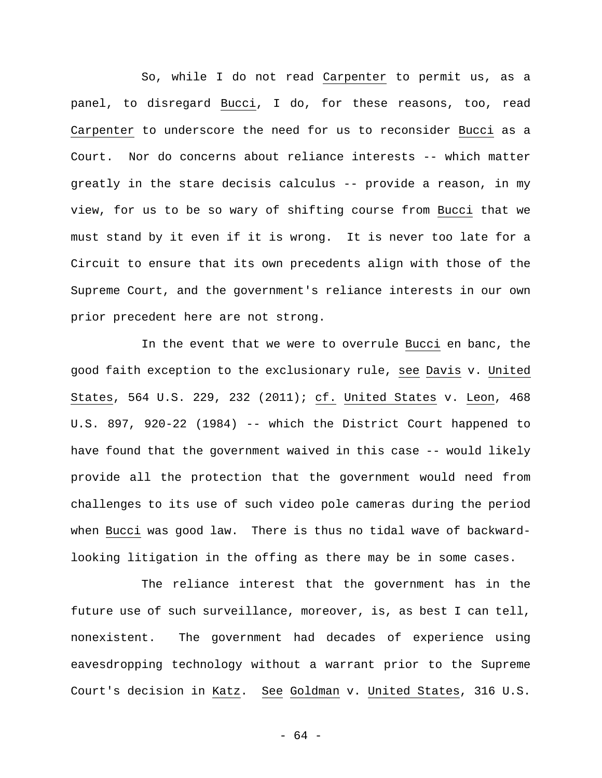So, while I do not read Carpenter to permit us, as a panel, to disregard Bucci, I do, for these reasons, too, read Carpenter to underscore the need for us to reconsider Bucci as a Court. Nor do concerns about reliance interests -- which matter greatly in the stare decisis calculus -- provide a reason, in my view, for us to be so wary of shifting course from Bucci that we must stand by it even if it is wrong. It is never too late for a Circuit to ensure that its own precedents align with those of the Supreme Court, and the government's reliance interests in our own prior precedent here are not strong.

In the event that we were to overrule Bucci en banc, the good faith exception to the exclusionary rule, see Davis v. United States, 564 U.S. 229, 232 (2011); cf. United States v. Leon, 468 U.S. 897, 920-22 (1984) -- which the District Court happened to have found that the government waived in this case -- would likely provide all the protection that the government would need from challenges to its use of such video pole cameras during the period when Bucci was good law. There is thus no tidal wave of backwardlooking litigation in the offing as there may be in some cases.

The reliance interest that the government has in the future use of such surveillance, moreover, is, as best I can tell, nonexistent. The government had decades of experience using eavesdropping technology without a warrant prior to the Supreme Court's decision in Katz. See Goldman v. United States, 316 U.S.

- 64 -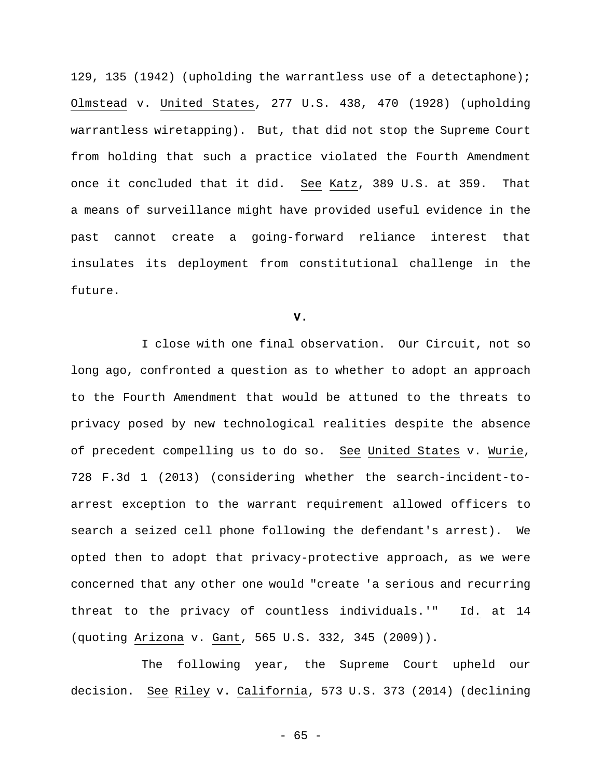129, 135 (1942) (upholding the warrantless use of a detectaphone); Olmstead v. United States, 277 U.S. 438, 470 (1928) (upholding warrantless wiretapping). But, that did not stop the Supreme Court from holding that such a practice violated the Fourth Amendment once it concluded that it did. See Katz, 389 U.S. at 359. That a means of surveillance might have provided useful evidence in the past cannot create a going-forward reliance interest that insulates its deployment from constitutional challenge in the future.

**V.** 

I close with one final observation. Our Circuit, not so long ago, confronted a question as to whether to adopt an approach to the Fourth Amendment that would be attuned to the threats to privacy posed by new technological realities despite the absence of precedent compelling us to do so. See United States v. Wurie, 728 F.3d 1 (2013) (considering whether the search-incident-toarrest exception to the warrant requirement allowed officers to search a seized cell phone following the defendant's arrest). We opted then to adopt that privacy-protective approach, as we were concerned that any other one would "create 'a serious and recurring threat to the privacy of countless individuals.'" Id. at 14 (quoting Arizona v. Gant, 565 U.S. 332, 345 (2009)).

The following year, the Supreme Court upheld our decision. See Riley v. California, 573 U.S. 373 (2014) (declining

- 65 -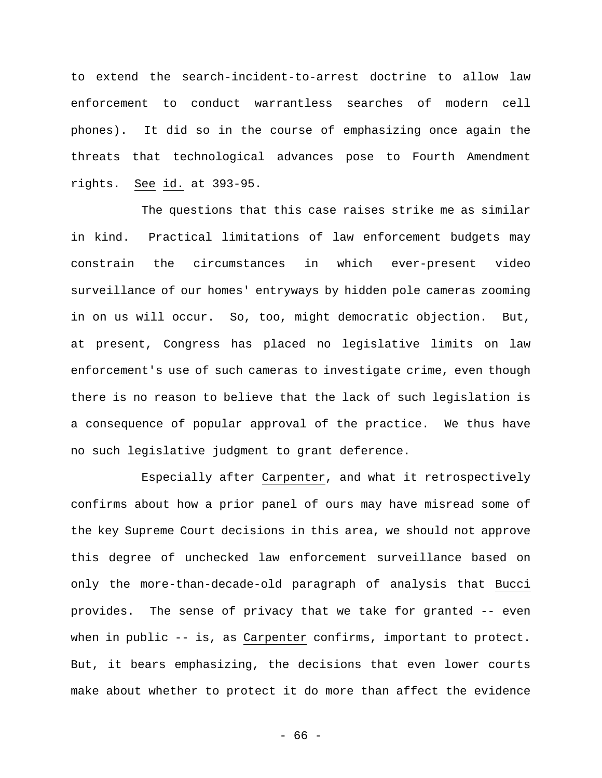to extend the search-incident-to-arrest doctrine to allow law enforcement to conduct warrantless searches of modern cell phones). It did so in the course of emphasizing once again the threats that technological advances pose to Fourth Amendment rights. See id. at 393-95.

The questions that this case raises strike me as similar in kind. Practical limitations of law enforcement budgets may constrain the circumstances in which ever-present video surveillance of our homes' entryways by hidden pole cameras zooming in on us will occur. So, too, might democratic objection. But, at present, Congress has placed no legislative limits on law enforcement's use of such cameras to investigate crime, even though there is no reason to believe that the lack of such legislation is a consequence of popular approval of the practice. We thus have no such legislative judgment to grant deference.

Especially after Carpenter, and what it retrospectively confirms about how a prior panel of ours may have misread some of the key Supreme Court decisions in this area, we should not approve this degree of unchecked law enforcement surveillance based on only the more-than-decade-old paragraph of analysis that Bucci provides. The sense of privacy that we take for granted -- even when in public -- is, as Carpenter confirms, important to protect. But, it bears emphasizing, the decisions that even lower courts make about whether to protect it do more than affect the evidence

- 66 -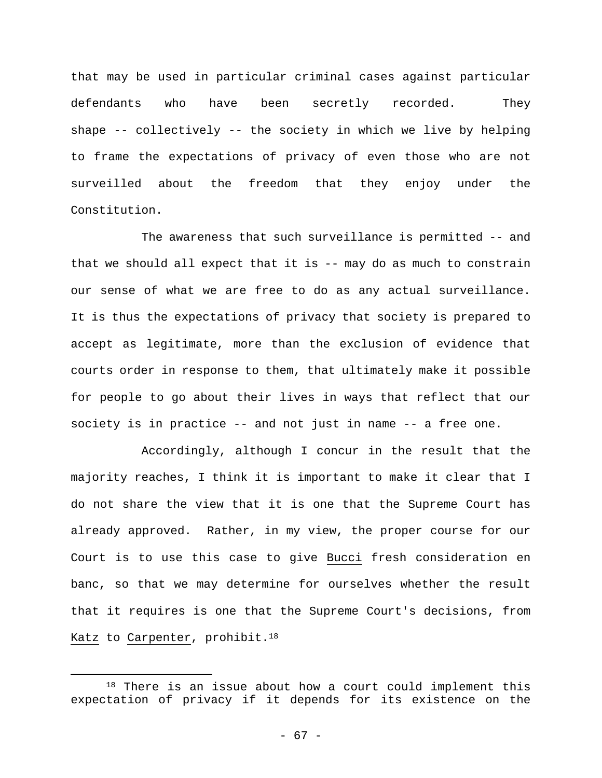that may be used in particular criminal cases against particular defendants who have been secretly recorded. They shape -- collectively -- the society in which we live by helping to frame the expectations of privacy of even those who are not surveilled about the freedom that they enjoy under the Constitution.

The awareness that such surveillance is permitted -- and that we should all expect that it is -- may do as much to constrain our sense of what we are free to do as any actual surveillance. It is thus the expectations of privacy that society is prepared to accept as legitimate, more than the exclusion of evidence that courts order in response to them, that ultimately make it possible for people to go about their lives in ways that reflect that our society is in practice -- and not just in name -- a free one.

Accordingly, although I concur in the result that the majority reaches, I think it is important to make it clear that I do not share the view that it is one that the Supreme Court has already approved. Rather, in my view, the proper course for our Court is to use this case to give Bucci fresh consideration en banc, so that we may determine for ourselves whether the result that it requires is one that the Supreme Court's decisions, from Katz to Carpenter, prohibit.<sup>18</sup>

<sup>&</sup>lt;sup>18</sup> There is an issue about how a court could implement this expectation of privacy if it depends for its existence on the